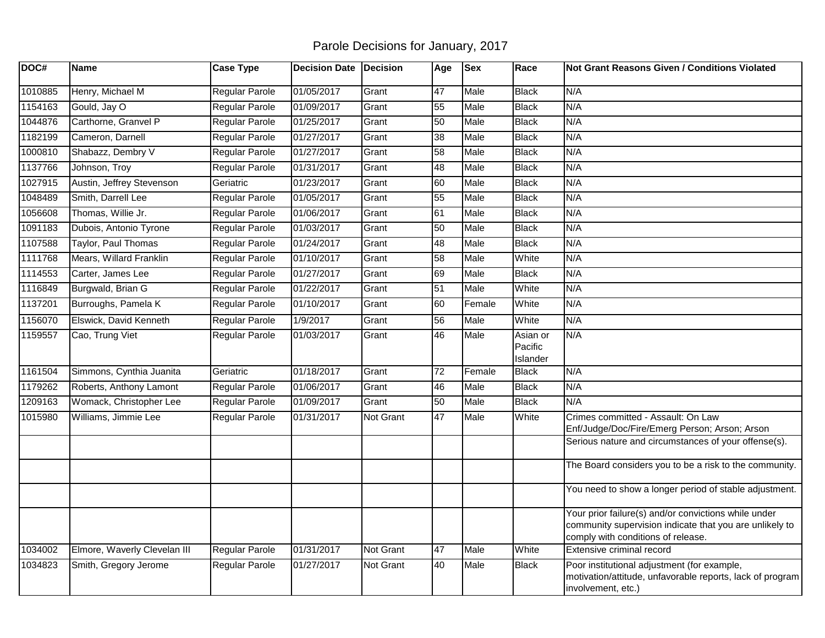Parole Decisions for January, 2017

| DOC#    | <b>Name</b>                  | <b>Case Type</b>      | <b>Decision Date</b> | Decision         | Age | <b>Sex</b> | Race                            | <b>Not Grant Reasons Given / Conditions Violated</b>                                                                                                  |
|---------|------------------------------|-----------------------|----------------------|------------------|-----|------------|---------------------------------|-------------------------------------------------------------------------------------------------------------------------------------------------------|
| 1010885 | Henry, Michael M             | Regular Parole        | 01/05/2017           | Grant            | 47  | Male       | <b>Black</b>                    | N/A                                                                                                                                                   |
| 1154163 | Gould, Jay O                 | Regular Parole        | 01/09/2017           | Grant            | 55  | Male       | <b>Black</b>                    | N/A                                                                                                                                                   |
| 1044876 | Carthorne, Granvel P         | Regular Parole        | 01/25/2017           | Grant            | 50  | Male       | <b>Black</b>                    | N/A                                                                                                                                                   |
| 1182199 | Cameron, Darnell             | <b>Regular Parole</b> | 01/27/2017           | Grant            | 38  | Male       | <b>Black</b>                    | N/A                                                                                                                                                   |
| 1000810 | Shabazz, Dembry V            | <b>Regular Parole</b> | 01/27/2017           | Grant            | 58  | Male       | <b>Black</b>                    | N/A                                                                                                                                                   |
| 1137766 | Johnson, Troy                | Regular Parole        | 01/31/2017           | Grant            | 48  | Male       | <b>Black</b>                    | N/A                                                                                                                                                   |
| 1027915 | Austin, Jeffrey Stevenson    | Geriatric             | 01/23/2017           | Grant            | 60  | Male       | <b>Black</b>                    | N/A                                                                                                                                                   |
| 1048489 | Smith, Darrell Lee           | Regular Parole        | 01/05/2017           | Grant            | 55  | Male       | <b>Black</b>                    | N/A                                                                                                                                                   |
| 1056608 | Thomas, Willie Jr.           | <b>Regular Parole</b> | 01/06/2017           | Grant            | 61  | Male       | <b>Black</b>                    | N/A                                                                                                                                                   |
| 1091183 | Dubois, Antonio Tyrone       | Regular Parole        | 01/03/2017           | Grant            | 50  | Male       | <b>Black</b>                    | N/A                                                                                                                                                   |
| 1107588 | Taylor, Paul Thomas          | Regular Parole        | 01/24/2017           | Grant            | 48  | Male       | <b>Black</b>                    | N/A                                                                                                                                                   |
| 1111768 | Mears, Willard Franklin      | Regular Parole        | 01/10/2017           | Grant            | 58  | Male       | White                           | N/A                                                                                                                                                   |
| 1114553 | Carter, James Lee            | Regular Parole        | 01/27/2017           | Grant            | 69  | Male       | <b>Black</b>                    | N/A                                                                                                                                                   |
| 1116849 | Burgwald, Brian G            | Regular Parole        | 01/22/2017           | Grant            | 51  | Male       | White                           | N/A                                                                                                                                                   |
| 1137201 | Burroughs, Pamela K          | Regular Parole        | 01/10/2017           | Grant            | 60  | Female     | White                           | N/A                                                                                                                                                   |
| 1156070 | Elswick, David Kenneth       | Regular Parole        | 1/9/2017             | Grant            | 56  | Male       | White                           | N/A                                                                                                                                                   |
| 1159557 | Cao, Trung Viet              | Regular Parole        | 01/03/2017           | Grant            | 46  | Male       | Asian or<br>Pacific<br>Islander | N/A                                                                                                                                                   |
| 1161504 | Simmons, Cynthia Juanita     | Geriatric             | 01/18/2017           | Grant            | 72  | Female     | <b>Black</b>                    | N/A                                                                                                                                                   |
| 1179262 | Roberts, Anthony Lamont      | Regular Parole        | 01/06/2017           | Grant            | 46  | Male       | <b>Black</b>                    | N/A                                                                                                                                                   |
| 1209163 | Womack, Christopher Lee      | Regular Parole        | 01/09/2017           | Grant            | 50  | Male       | <b>Black</b>                    | N/A                                                                                                                                                   |
| 1015980 | Williams, Jimmie Lee         | Regular Parole        | 01/31/2017           | Not Grant        | 47  | Male       | White                           | Crimes committed - Assault: On Law<br>Enf/Judge/Doc/Fire/Emerg Person; Arson; Arson                                                                   |
|         |                              |                       |                      |                  |     |            |                                 | Serious nature and circumstances of your offense(s).                                                                                                  |
|         |                              |                       |                      |                  |     |            |                                 | The Board considers you to be a risk to the community.                                                                                                |
|         |                              |                       |                      |                  |     |            |                                 | You need to show a longer period of stable adjustment.                                                                                                |
|         |                              |                       |                      |                  |     |            |                                 | Your prior failure(s) and/or convictions while under<br>community supervision indicate that you are unlikely to<br>comply with conditions of release. |
| 1034002 | Elmore, Waverly Clevelan III | Regular Parole        | 01/31/2017           | <b>Not Grant</b> | 47  | Male       | White                           | <b>Extensive criminal record</b>                                                                                                                      |
| 1034823 | Smith, Gregory Jerome        | Regular Parole        | 01/27/2017           | Not Grant        | 40  | Male       | <b>Black</b>                    | Poor institutional adjustment (for example,<br>motivation/attitude, unfavorable reports, lack of program<br>involvement, etc.)                        |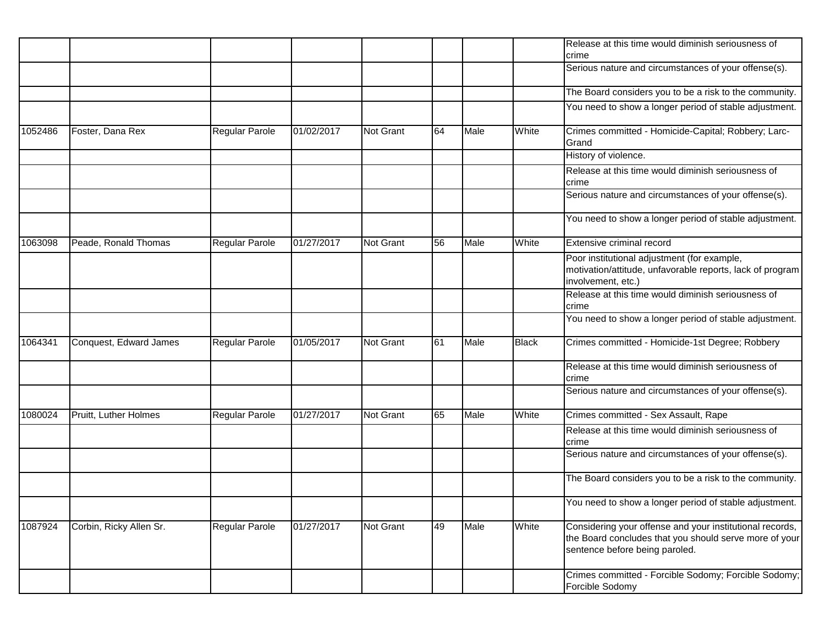|         |                         |                       |            |                  |    |      |              | Release at this time would diminish seriousness of<br>crime                                                                                          |
|---------|-------------------------|-----------------------|------------|------------------|----|------|--------------|------------------------------------------------------------------------------------------------------------------------------------------------------|
|         |                         |                       |            |                  |    |      |              | Serious nature and circumstances of your offense(s).                                                                                                 |
|         |                         |                       |            |                  |    |      |              | The Board considers you to be a risk to the community.                                                                                               |
|         |                         |                       |            |                  |    |      |              | You need to show a longer period of stable adjustment.                                                                                               |
| 1052486 | Foster, Dana Rex        | <b>Regular Parole</b> | 01/02/2017 | Not Grant        | 64 | Male | White        | Crimes committed - Homicide-Capital; Robbery; Larc-<br>Grand                                                                                         |
|         |                         |                       |            |                  |    |      |              | History of violence.                                                                                                                                 |
|         |                         |                       |            |                  |    |      |              | Release at this time would diminish seriousness of<br>crime                                                                                          |
|         |                         |                       |            |                  |    |      |              | Serious nature and circumstances of your offense(s).                                                                                                 |
|         |                         |                       |            |                  |    |      |              | You need to show a longer period of stable adjustment.                                                                                               |
| 1063098 | Peade, Ronald Thomas    | Regular Parole        | 01/27/2017 | Not Grant        | 56 | Male | White        | Extensive criminal record                                                                                                                            |
|         |                         |                       |            |                  |    |      |              | Poor institutional adjustment (for example,<br>motivation/attitude, unfavorable reports, lack of program<br>involvement, etc.)                       |
|         |                         |                       |            |                  |    |      |              | Release at this time would diminish seriousness of<br>crime                                                                                          |
|         |                         |                       |            |                  |    |      |              | You need to show a longer period of stable adjustment.                                                                                               |
| 1064341 | Conquest, Edward James  | Regular Parole        | 01/05/2017 | <b>Not Grant</b> | 61 | Male | <b>Black</b> | Crimes committed - Homicide-1st Degree; Robbery                                                                                                      |
|         |                         |                       |            |                  |    |      |              | Release at this time would diminish seriousness of<br>crime                                                                                          |
|         |                         |                       |            |                  |    |      |              | Serious nature and circumstances of your offense(s).                                                                                                 |
| 1080024 | Pruitt, Luther Holmes   | <b>Regular Parole</b> | 01/27/2017 | <b>Not Grant</b> | 65 | Male | White        | Crimes committed - Sex Assault, Rape                                                                                                                 |
|         |                         |                       |            |                  |    |      |              | Release at this time would diminish seriousness of<br>crime                                                                                          |
|         |                         |                       |            |                  |    |      |              | Serious nature and circumstances of your offense(s).                                                                                                 |
|         |                         |                       |            |                  |    |      |              | The Board considers you to be a risk to the community.                                                                                               |
|         |                         |                       |            |                  |    |      |              | You need to show a longer period of stable adjustment.                                                                                               |
| 1087924 | Corbin, Ricky Allen Sr. | Regular Parole        | 01/27/2017 | Not Grant        | 49 | Male | White        | Considering your offense and your institutional records,<br>the Board concludes that you should serve more of your<br>sentence before being paroled. |
|         |                         |                       |            |                  |    |      |              | Crimes committed - Forcible Sodomy; Forcible Sodomy;<br>Forcible Sodomy                                                                              |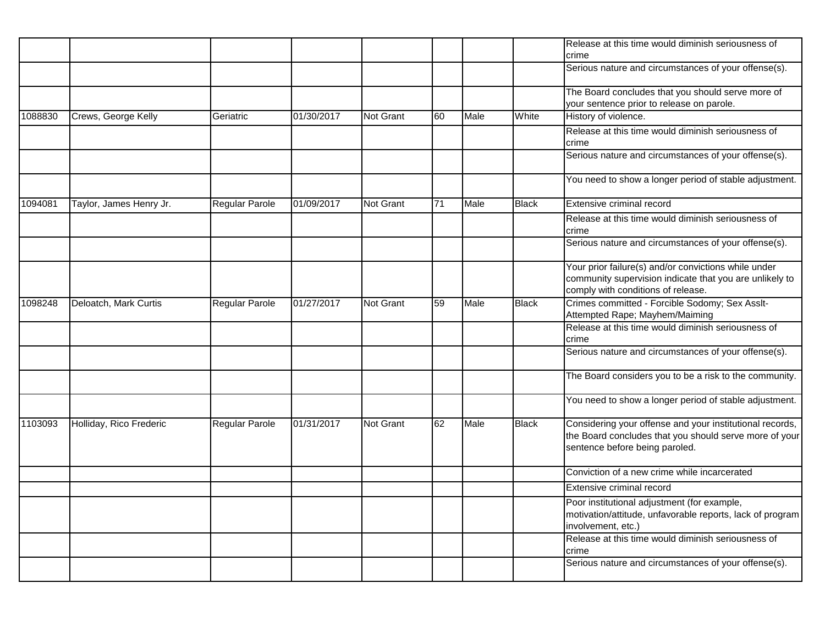|         |                         |                       |            |                  |                 |      |              | Release at this time would diminish seriousness of<br>crime                                                                                           |
|---------|-------------------------|-----------------------|------------|------------------|-----------------|------|--------------|-------------------------------------------------------------------------------------------------------------------------------------------------------|
|         |                         |                       |            |                  |                 |      |              | Serious nature and circumstances of your offense(s).                                                                                                  |
|         |                         |                       |            |                  |                 |      |              | The Board concludes that you should serve more of                                                                                                     |
|         |                         |                       |            |                  |                 |      |              | your sentence prior to release on parole.                                                                                                             |
| 1088830 | Crews, George Kelly     | Geriatric             | 01/30/2017 | Not Grant        | 60              | Male | White        | History of violence.                                                                                                                                  |
|         |                         |                       |            |                  |                 |      |              | Release at this time would diminish seriousness of<br>crime                                                                                           |
|         |                         |                       |            |                  |                 |      |              | Serious nature and circumstances of your offense(s).                                                                                                  |
|         |                         |                       |            |                  |                 |      |              | You need to show a longer period of stable adjustment.                                                                                                |
| 1094081 | Taylor, James Henry Jr. | Regular Parole        | 01/09/2017 | <b>Not Grant</b> | $\overline{71}$ | Male | <b>Black</b> | Extensive criminal record                                                                                                                             |
|         |                         |                       |            |                  |                 |      |              | Release at this time would diminish seriousness of<br>crime                                                                                           |
|         |                         |                       |            |                  |                 |      |              | Serious nature and circumstances of your offense(s).                                                                                                  |
|         |                         |                       |            |                  |                 |      |              | Your prior failure(s) and/or convictions while under<br>community supervision indicate that you are unlikely to<br>comply with conditions of release. |
| 1098248 | Deloatch, Mark Curtis   | Regular Parole        | 01/27/2017 | <b>Not Grant</b> | 59              | Male | <b>Black</b> | Crimes committed - Forcible Sodomy; Sex Asslt-<br>Attempted Rape; Mayhem/Maiming                                                                      |
|         |                         |                       |            |                  |                 |      |              | Release at this time would diminish seriousness of<br>crime                                                                                           |
|         |                         |                       |            |                  |                 |      |              | Serious nature and circumstances of your offense(s).                                                                                                  |
|         |                         |                       |            |                  |                 |      |              | The Board considers you to be a risk to the community.                                                                                                |
|         |                         |                       |            |                  |                 |      |              | You need to show a longer period of stable adjustment.                                                                                                |
| 1103093 | Holliday, Rico Frederic | <b>Regular Parole</b> | 01/31/2017 | <b>Not Grant</b> | 62              | Male | <b>Black</b> | Considering your offense and your institutional records,<br>the Board concludes that you should serve more of your<br>sentence before being paroled.  |
|         |                         |                       |            |                  |                 |      |              | Conviction of a new crime while incarcerated                                                                                                          |
|         |                         |                       |            |                  |                 |      |              | Extensive criminal record                                                                                                                             |
|         |                         |                       |            |                  |                 |      |              | Poor institutional adjustment (for example,<br>motivation/attitude, unfavorable reports, lack of program<br>involvement, etc.)                        |
|         |                         |                       |            |                  |                 |      |              | Release at this time would diminish seriousness of<br>crime                                                                                           |
|         |                         |                       |            |                  |                 |      |              | Serious nature and circumstances of your offense(s).                                                                                                  |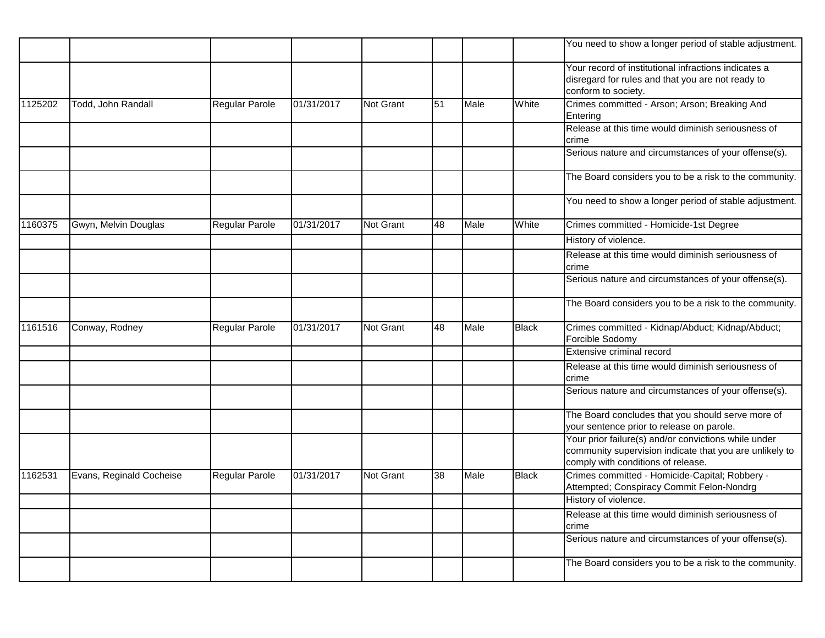|         |                          |                       |            |                  |    |      |              | You need to show a longer period of stable adjustment.                                                                                                |
|---------|--------------------------|-----------------------|------------|------------------|----|------|--------------|-------------------------------------------------------------------------------------------------------------------------------------------------------|
|         |                          |                       |            |                  |    |      |              | Your record of institutional infractions indicates a<br>disregard for rules and that you are not ready to<br>conform to society.                      |
| 1125202 | Todd, John Randall       | <b>Regular Parole</b> | 01/31/2017 | Not Grant        | 51 | Male | White        | Crimes committed - Arson; Arson; Breaking And<br>Entering                                                                                             |
|         |                          |                       |            |                  |    |      |              | Release at this time would diminish seriousness of<br>crime                                                                                           |
|         |                          |                       |            |                  |    |      |              | Serious nature and circumstances of your offense(s).                                                                                                  |
|         |                          |                       |            |                  |    |      |              | The Board considers you to be a risk to the community.                                                                                                |
|         |                          |                       |            |                  |    |      |              | You need to show a longer period of stable adjustment.                                                                                                |
| 1160375 | Gwyn, Melvin Douglas     | Regular Parole        | 01/31/2017 | <b>Not Grant</b> | 48 | Male | White        | Crimes committed - Homicide-1st Degree                                                                                                                |
|         |                          |                       |            |                  |    |      |              | History of violence.                                                                                                                                  |
|         |                          |                       |            |                  |    |      |              | Release at this time would diminish seriousness of<br>crime                                                                                           |
|         |                          |                       |            |                  |    |      |              | Serious nature and circumstances of your offense(s).                                                                                                  |
|         |                          |                       |            |                  |    |      |              | The Board considers you to be a risk to the community.                                                                                                |
| 1161516 | Conway, Rodney           | Regular Parole        | 01/31/2017 | Not Grant        | 48 | Male | Black        | Crimes committed - Kidnap/Abduct; Kidnap/Abduct;<br>Forcible Sodomy                                                                                   |
|         |                          |                       |            |                  |    |      |              | Extensive criminal record                                                                                                                             |
|         |                          |                       |            |                  |    |      |              | Release at this time would diminish seriousness of<br>crime                                                                                           |
|         |                          |                       |            |                  |    |      |              | Serious nature and circumstances of your offense(s).                                                                                                  |
|         |                          |                       |            |                  |    |      |              | The Board concludes that you should serve more of<br>your sentence prior to release on parole.                                                        |
|         |                          |                       |            |                  |    |      |              | Your prior failure(s) and/or convictions while under<br>community supervision indicate that you are unlikely to<br>comply with conditions of release. |
| 1162531 | Evans, Reginald Cocheise | <b>Regular Parole</b> | 01/31/2017 | <b>Not Grant</b> | 38 | Male | <b>Black</b> | Crimes committed - Homicide-Capital; Robbery -<br>Attempted; Conspiracy Commit Felon-Nondrg                                                           |
|         |                          |                       |            |                  |    |      |              | History of violence.                                                                                                                                  |
|         |                          |                       |            |                  |    |      |              | Release at this time would diminish seriousness of<br>crime                                                                                           |
|         |                          |                       |            |                  |    |      |              | Serious nature and circumstances of your offense(s).                                                                                                  |
|         |                          |                       |            |                  |    |      |              | The Board considers you to be a risk to the community.                                                                                                |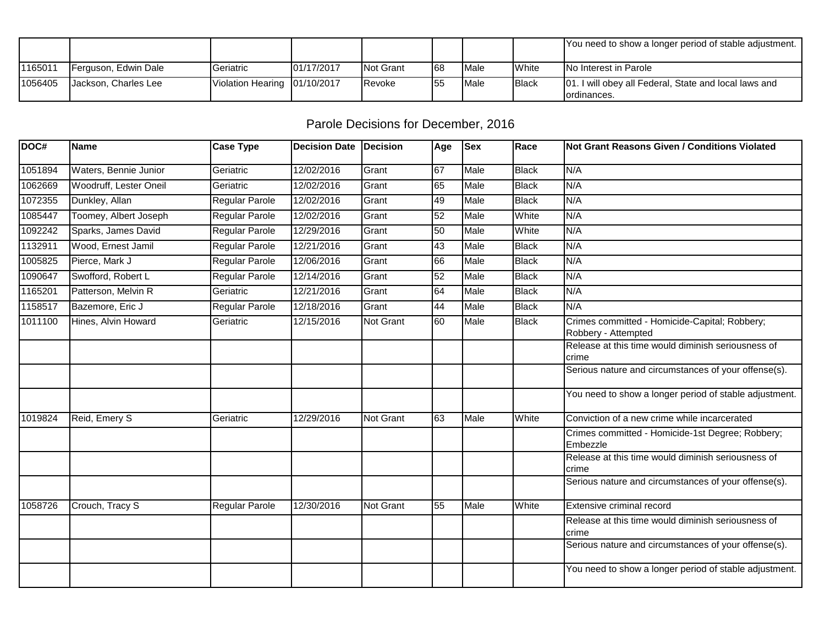|         |                      |                               |            |                  |    |      |                | [You need to show a longer period of stable adjustment.] |
|---------|----------------------|-------------------------------|------------|------------------|----|------|----------------|----------------------------------------------------------|
| 1165011 | Ferguson, Edwin Dale | Geriatric                     | 01/17/2017 | <b>Not Grant</b> | 68 | Male | <b>I</b> White | <b>No Interest in Parole</b>                             |
| 1056405 | Jackson, Charles Lee | Violation Hearing 101/10/2017 |            | <b>IRevoke</b>   | 55 | Male | <b>I</b> Black | [01. I will obey all Federal, State and local laws and   |
|         |                      |                               |            |                  |    |      |                | lordinances.                                             |

# Parole Decisions for December, 2016

| DOC#    | Name                   | <b>Case Type</b>      | <b>Decision Date</b> | Decision         | Age | <b>Sex</b> | Race         | <b>INot Grant Reasons Given / Conditions Violated</b>                |
|---------|------------------------|-----------------------|----------------------|------------------|-----|------------|--------------|----------------------------------------------------------------------|
| 1051894 | Waters, Bennie Junior  | Geriatric             | 12/02/2016           | Grant            | 67  | Male       | Black        | N/A                                                                  |
| 1062669 | Woodruff, Lester Oneil | Geriatric             | 12/02/2016           | Grant            | 65  | Male       | Black        | N/A                                                                  |
| 1072355 | Dunkley, Allan         | Regular Parole        | 12/02/2016           | Grant            | 49  | Male       | Black        | N/A                                                                  |
| 1085447 | Toomey, Albert Joseph  | Regular Parole        | 12/02/2016           | Grant            | 52  | Male       | White        | N/A                                                                  |
| 1092242 | Sparks, James David    | Regular Parole        | 12/29/2016           | Grant            | 50  | Male       | White        | N/A                                                                  |
| 1132911 | Wood, Ernest Jamil     | Regular Parole        | 12/21/2016           | Grant            | 43  | Male       | Black        | N/A                                                                  |
| 1005825 | Pierce, Mark J         | Regular Parole        | 12/06/2016           | Grant            | 66  | Male       | Black        | N/A                                                                  |
| 1090647 | Swofford, Robert L     | Regular Parole        | 12/14/2016           | Grant            | 52  | Male       | Black        | N/A                                                                  |
| 1165201 | Patterson, Melvin R    | Geriatric             | 12/21/2016           | Grant            | 64  | Male       | Black        | N/A                                                                  |
| 1158517 | Bazemore, Eric J       | Regular Parole        | 12/18/2016           | Grant            | 44  | Male       | Black        | N/A                                                                  |
| 1011100 | Hines, Alvin Howard    | Geriatric             | 12/15/2016           | <b>Not Grant</b> | 60  | Male       | <b>Black</b> | Crimes committed - Homicide-Capital; Robbery;<br>Robbery - Attempted |
|         |                        |                       |                      |                  |     |            |              | Release at this time would diminish seriousness of<br>crime          |
|         |                        |                       |                      |                  |     |            |              | Serious nature and circumstances of your offense(s).                 |
|         |                        |                       |                      |                  |     |            |              | You need to show a longer period of stable adjustment.               |
| 1019824 | Reid, Emery S          | Geriatric             | 12/29/2016           | <b>Not Grant</b> | 63  | Male       | White        | Conviction of a new crime while incarcerated                         |
|         |                        |                       |                      |                  |     |            |              | Crimes committed - Homicide-1st Degree; Robbery;<br>Embezzle         |
|         |                        |                       |                      |                  |     |            |              | Release at this time would diminish seriousness of<br>crime          |
|         |                        |                       |                      |                  |     |            |              | Serious nature and circumstances of your offense(s).                 |
| 1058726 | Crouch, Tracy S        | <b>Regular Parole</b> | 12/30/2016           | Not Grant        | 55  | Male       | White        | Extensive criminal record                                            |
|         |                        |                       |                      |                  |     |            |              | Release at this time would diminish seriousness of<br>Icrime         |
|         |                        |                       |                      |                  |     |            |              | Serious nature and circumstances of your offense(s).                 |
|         |                        |                       |                      |                  |     |            |              | You need to show a longer period of stable adjustment.               |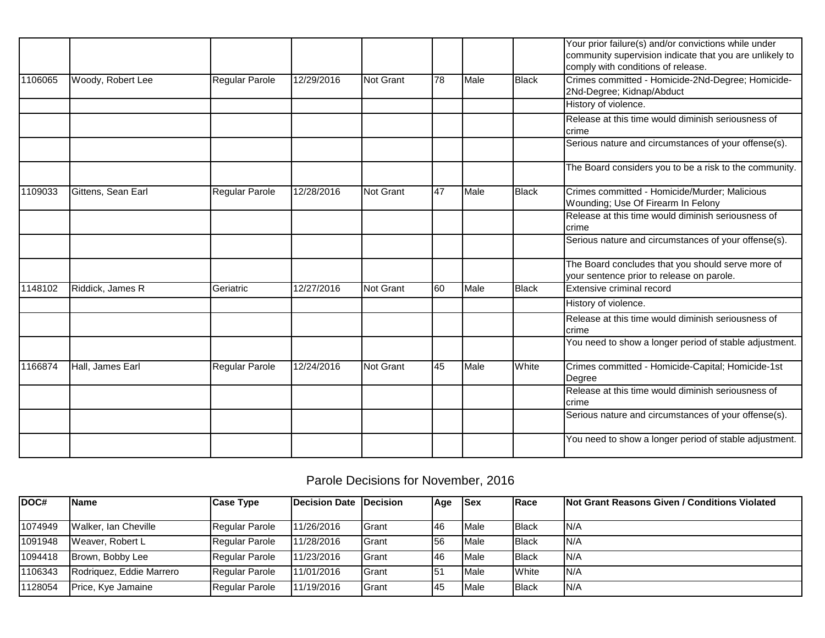|         |                    |                       |            |                  |    |      |              | Your prior failure(s) and/or convictions while under<br>community supervision indicate that you are unlikely to<br>comply with conditions of release. |
|---------|--------------------|-----------------------|------------|------------------|----|------|--------------|-------------------------------------------------------------------------------------------------------------------------------------------------------|
| 1106065 | Woody, Robert Lee  | Regular Parole        | 12/29/2016 | Not Grant        | 78 | Male | <b>Black</b> | Crimes committed - Homicide-2Nd-Degree; Homicide-<br>2Nd-Degree; Kidnap/Abduct                                                                        |
|         |                    |                       |            |                  |    |      |              | History of violence.                                                                                                                                  |
|         |                    |                       |            |                  |    |      |              | Release at this time would diminish seriousness of<br>crime                                                                                           |
|         |                    |                       |            |                  |    |      |              | Serious nature and circumstances of your offense(s).                                                                                                  |
|         |                    |                       |            |                  |    |      |              | The Board considers you to be a risk to the community.                                                                                                |
| 1109033 | Gittens, Sean Earl | Regular Parole        | 12/28/2016 | <b>Not Grant</b> | 47 | Male | <b>Black</b> | Crimes committed - Homicide/Murder; Malicious<br>Wounding; Use Of Firearm In Felony                                                                   |
|         |                    |                       |            |                  |    |      |              | Release at this time would diminish seriousness of<br>Icrime                                                                                          |
|         |                    |                       |            |                  |    |      |              | Serious nature and circumstances of your offense(s).                                                                                                  |
|         |                    |                       |            |                  |    |      |              | The Board concludes that you should serve more of<br>your sentence prior to release on parole.                                                        |
| 1148102 | Riddick, James R   | Geriatric             | 12/27/2016 | <b>Not Grant</b> | 60 | Male | <b>Black</b> | Extensive criminal record                                                                                                                             |
|         |                    |                       |            |                  |    |      |              | History of violence.                                                                                                                                  |
|         |                    |                       |            |                  |    |      |              | Release at this time would diminish seriousness of<br>Icrime                                                                                          |
|         |                    |                       |            |                  |    |      |              | You need to show a longer period of stable adjustment.                                                                                                |
| 1166874 | Hall, James Earl   | <b>Regular Parole</b> | 12/24/2016 | Not Grant        | 45 | Male | White        | Crimes committed - Homicide-Capital; Homicide-1st<br>Degree                                                                                           |
|         |                    |                       |            |                  |    |      |              | Release at this time would diminish seriousness of<br>Icrime                                                                                          |
|         |                    |                       |            |                  |    |      |              | Serious nature and circumstances of your offense(s).                                                                                                  |
|         |                    |                       |            |                  |    |      |              | You need to show a longer period of stable adjustment.                                                                                                |

## Parole Decisions for November, 2016

| DOC#    | <b>Name</b>               | <b>Case Type</b>       | Decision Date Decision |                | Age | ISex | <b>IRace</b>   | <b>Not Grant Reasons Given / Conditions Violated</b> |
|---------|---------------------------|------------------------|------------------------|----------------|-----|------|----------------|------------------------------------------------------|
|         |                           |                        |                        |                |     |      |                |                                                      |
| 1074949 | Walker, Ian Cheville      | Regular Parole         | 11/26/2016             | <b>I</b> Grant | 46  | Male | <b>I</b> Black | IN/A                                                 |
| 1091948 | <b>I</b> Weaver, Robert L | Regular Parole         | 11/28/2016             | <b>I</b> Grant | 56  | Male | <b>I</b> Black | IN/A                                                 |
| 1094418 | Brown, Bobby Lee          | <b>IRegular Parole</b> | 11/23/2016             | <b>I</b> Grant | 46  | Male | <b>I</b> Black | IN/A                                                 |
| 1106343 | Rodriquez, Eddie Marrero  | Regular Parole         | 11/01/2016             | <b>I</b> Grant | 51  | Male | <b>White</b>   | IN/A                                                 |
| 1128054 | Price, Kye Jamaine        | Regular Parole         | 11/19/2016             | <b>I</b> Grant | 45  | Male | <b>I</b> Black | IN/A                                                 |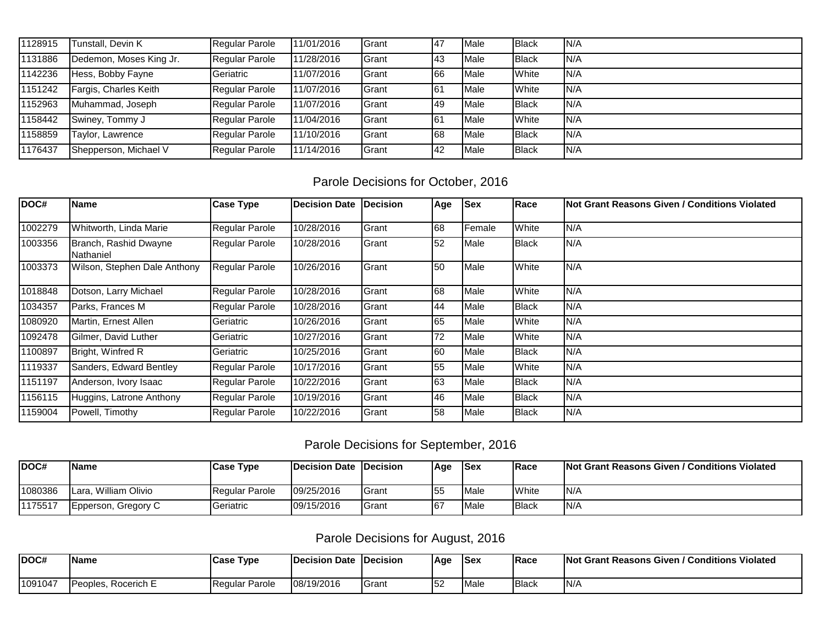| 1128915 | Tunstall, Devin K       | <b>Regular Parole</b> | 11/01/2016 | Grant          | 47 | <b>Male</b> | <b>Black</b>  | IN/A |
|---------|-------------------------|-----------------------|------------|----------------|----|-------------|---------------|------|
| 1131886 | Dedemon, Moses King Jr. | Regular Parole        | 11/28/2016 | <b>I</b> Grant | 43 | Male        | <b>Black</b>  | N/A  |
| 1142236 | Hess, Bobby Fayne       | Geriatric             | 11/07/2016 | <b>I</b> Grant | 66 | <b>Male</b> | <b>White</b>  | IN/A |
| 1151242 | Fargis, Charles Keith   | <b>Regular Parole</b> | 11/07/2016 | <b>I</b> Grant | 61 | <b>Male</b> | <b>White</b>  | IN/A |
| 1152963 | Muhammad, Joseph        | <b>Regular Parole</b> | 11/07/2016 | <b>I</b> Grant | 49 | <b>Male</b> | <b>Black</b>  | IN/A |
| 1158442 | Swiney, Tommy J         | <b>Regular Parole</b> | 11/04/2016 | <b>I</b> Grant | 61 | <b>Male</b> | <b>White</b>  | IN/A |
| 1158859 | Taylor, Lawrence        | <b>Regular Parole</b> | 11/10/2016 | <b>I</b> Grant | 68 | <b>Male</b> | <b>IBlack</b> | IN/A |
| 1176437 | Shepperson, Michael V   | <b>Regular Parole</b> | 11/14/2016 | <b>I</b> Grant | 42 | Male        | <b>Black</b>  | IN/A |

### Parole Decisions for October, 2016

| DOC#    | Name                               | <b>Case Type</b> | <b>Decision Date</b> | <b>IDecision</b> | Age | <b>Sex</b> | Race         | INot Grant Reasons Given / Conditions Violated |
|---------|------------------------------------|------------------|----------------------|------------------|-----|------------|--------------|------------------------------------------------|
| 1002279 | Whitworth, Linda Marie             | Regular Parole   | 10/28/2016           | Grant            | 68  | Female     | White        | IN/A                                           |
| 1003356 | Branch, Rashid Dwayne<br>Nathaniel | Regular Parole   | 10/28/2016           | Grant            | 52  | Male       | <b>Black</b> | N/A                                            |
| 1003373 | Wilson, Stephen Dale Anthony       | Regular Parole   | 10/26/2016           | Grant            | 50  | Male       | White        | N/A                                            |
| 1018848 | Dotson, Larry Michael              | Regular Parole   | 10/28/2016           | Grant            | 68  | Male       | White        | N/A                                            |
| 1034357 | Parks, Frances M                   | Regular Parole   | 10/28/2016           | Grant            | 44  | Male       | <b>Black</b> | IN/A                                           |
| 1080920 | Martin, Ernest Allen               | Geriatric        | 10/26/2016           | Grant            | 65  | Male       | White        | IN/A                                           |
| 1092478 | Gilmer, David Luther               | Geriatric        | 10/27/2016           | Grant            | 72  | Male       | White        | N/A                                            |
| 1100897 | Bright, Winfred R                  | Geriatric        | 10/25/2016           | Grant            | 60  | Male       | <b>Black</b> | N/A                                            |
| 1119337 | Sanders, Edward Bentley            | Regular Parole   | 10/17/2016           | Grant            | 55  | Male       | White        | N/A                                            |
| 1151197 | Anderson, Ivory Isaac              | Regular Parole   | 10/22/2016           | Grant            | 63  | Male       | <b>Black</b> | N/A                                            |
| 1156115 | Huggins, Latrone Anthony           | Regular Parole   | 10/19/2016           | Grant            | 46  | Male       | <b>Black</b> | N/A                                            |
| 1159004 | Powell, Timothy                    | Regular Parole   | 10/22/2016           | Grant            | 58  | Male       | <b>Black</b> | N/A                                            |

## Parole Decisions for September, 2016

| IDOC#   | <b>IName</b>         | <b>Case Type</b>        | Decision Date Decision |       | Age        | <b>Sex</b> | <b>Race</b>  | <b>Not Grant Reasons Given / Conditions Violated</b> |
|---------|----------------------|-------------------------|------------------------|-------|------------|------------|--------------|------------------------------------------------------|
| 1080386 | Lara, William Olivio | <b>I</b> Regular Parole | 09/25/2016             | Grant | 155        | Male       | <b>White</b> | IN/A                                                 |
| 1175517 | Epperson, Gregory C  | Geriatric               | 09/15/2016             | Grant | <b>167</b> | Male       | <b>Black</b> | IN/A                                                 |

# Parole Decisions for August, 2016

| DOC#    | <b>IName</b>           | lCase<br>Type  | <b>IDecision Date</b> | <b>IDecision</b> | Age | lSex        | <b>Race</b>    | V Conditions Violated<br><b>INot Grant Reasons Given /</b> |
|---------|------------------------|----------------|-----------------------|------------------|-----|-------------|----------------|------------------------------------------------------------|
| 1091047 | Rocerich E<br>Peoples. | Regular Parole | 08/19/2016            | <b>Grant</b>     | 152 | <b>Male</b> | <b>I</b> Black | N/t                                                        |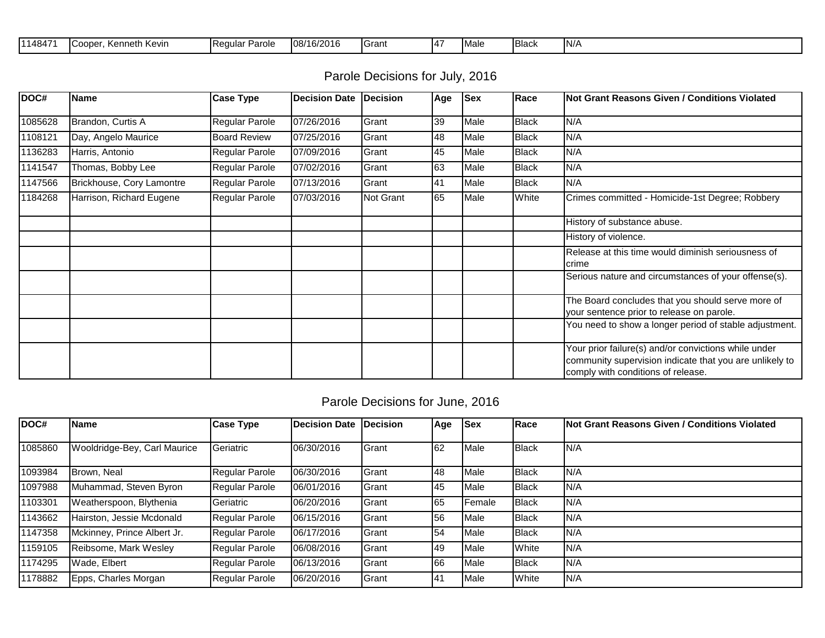| 1114847 | Kenneth Kevin<br>∴∩∩ne | <b>I</b> Regular<br>Parole | 08/16/2016 | <b>IGrant</b> | . | <b>IN A.</b><br>∎Male | <b>I</b> Black | IN/4 |
|---------|------------------------|----------------------------|------------|---------------|---|-----------------------|----------------|------|
|         |                        |                            |            |               |   |                       |                |      |

| Parole Decisions for July, 2016 |  |  |  |
|---------------------------------|--|--|--|
|---------------------------------|--|--|--|

| DOC#    | <b>Name</b>               | <b>Case Type</b>      | <b>Decision Date</b> | Decision         | Age | <b>Sex</b> | Race  | <b>INot Grant Reasons Given / Conditions Violated</b>                                                                                                 |
|---------|---------------------------|-----------------------|----------------------|------------------|-----|------------|-------|-------------------------------------------------------------------------------------------------------------------------------------------------------|
| 1085628 | Brandon, Curtis A         | <b>Regular Parole</b> | 07/26/2016           | Grant            | 39  | Male       | Black | N/A                                                                                                                                                   |
| 1108121 | Day, Angelo Maurice       | <b>Board Review</b>   | 07/25/2016           | Grant            | 48  | Male       | Black | IN/A                                                                                                                                                  |
| 1136283 | Harris, Antonio           | <b>Regular Parole</b> | 07/09/2016           | Grant            | 45  | Male       | Black | IN/A                                                                                                                                                  |
| 1141547 | Thomas, Bobby Lee         | <b>Regular Parole</b> | 07/02/2016           | Grant            | 63  | Male       | Black | N/A                                                                                                                                                   |
| 1147566 | Brickhouse, Cory Lamontre | <b>Regular Parole</b> | 07/13/2016           | Grant            | 41  | Male       | Black | N/A                                                                                                                                                   |
| 1184268 | Harrison, Richard Eugene  | <b>Regular Parole</b> | 07/03/2016           | <b>Not Grant</b> | 65  | Male       | White | Crimes committed - Homicide-1st Degree; Robbery                                                                                                       |
|         |                           |                       |                      |                  |     |            |       | History of substance abuse.                                                                                                                           |
|         |                           |                       |                      |                  |     |            |       | History of violence.                                                                                                                                  |
|         |                           |                       |                      |                  |     |            |       | Release at this time would diminish seriousness of<br>Icrime                                                                                          |
|         |                           |                       |                      |                  |     |            |       | Serious nature and circumstances of your offense(s).                                                                                                  |
|         |                           |                       |                      |                  |     |            |       | The Board concludes that you should serve more of<br>your sentence prior to release on parole.                                                        |
|         |                           |                       |                      |                  |     |            |       | You need to show a longer period of stable adjustment.                                                                                                |
|         |                           |                       |                      |                  |     |            |       | Your prior failure(s) and/or convictions while under<br>community supervision indicate that you are unlikely to<br>comply with conditions of release. |

| DOC#     | <b>I</b> Name                | Case Type             | Decision Date | <b>IDecision</b> | Age | <b>Sex</b>    | Race           | <b>Not Grant Reasons Given / Conditions Violated</b> |
|----------|------------------------------|-----------------------|---------------|------------------|-----|---------------|----------------|------------------------------------------------------|
| 1085860  | Wooldridge-Bey, Carl Maurice | Geriatric             | 06/30/2016    | Grant            | 62  | Male          | Black          | IN/A                                                 |
| 1093984  | Brown, Neal                  | <b>Regular Parole</b> | 06/30/2016    | Grant            | 48  | Male          | <b>Black</b>   | IN/A                                                 |
| 1097988  | Muhammad, Steven Byron       | Regular Parole        | 06/01/2016    | <b>I</b> Grant   | 45  | Male          | <b>Black</b>   | IN/A                                                 |
| 1103301  | Weatherspoon, Blythenia      | Geriatric             | 06/20/2016    | <b>I</b> Grant   | 65  | <b>Female</b> | Black          | IN/A                                                 |
| 1143662  | Hairston, Jessie Mcdonald    | Regular Parole        | 06/15/2016    | Grant            | 56  | Male          | Black          | IN/A                                                 |
| 1147358  | Mckinney, Prince Albert Jr.  | Regular Parole        | 06/17/2016    | <b>I</b> Grant   | 54  | Male          | <b>I</b> Black | IN/A                                                 |
| 1159105  | Reibsome, Mark Wesley        | Regular Parole        | 06/08/2016    | <b>I</b> Grant   | 49  | Male          | <b>White</b>   | N/A                                                  |
| 11174295 | Wade, Elbert                 | <b>Regular Parole</b> | 06/13/2016    | <b>I</b> Grant   | 66  | Male          | <b>Black</b>   | IN/A                                                 |
| 1178882  | Epps, Charles Morgan         | Regular Parole        | 06/20/2016    | Grant            | 41  | Male          | White          | IN/A                                                 |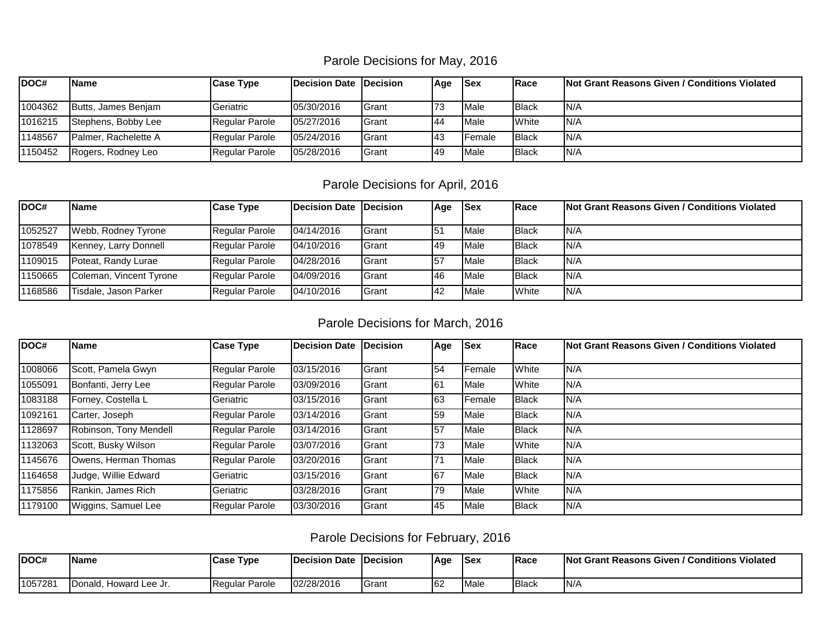| DOC#    | <b>IName</b>         | <b>Case Type</b> | Decision Date Decision |                | <b>Age</b>   | <b>ISex</b> | <b>IRace</b>   | <b>Not Grant Reasons Given / Conditions Violated</b> |
|---------|----------------------|------------------|------------------------|----------------|--------------|-------------|----------------|------------------------------------------------------|
| 1004362 | Butts, James Benjam  | Geriatric        | 05/30/2016             | <b>I</b> Grant | 73           | Male        | <b>I</b> Black | IN/A                                                 |
| 1016215 | Stephens, Bobby Lee  | Regular Parole   | 05/27/2016             | <b>I</b> Grant | $ 44\rangle$ | Male        | <b>White</b>   | IN/A                                                 |
| 1148567 | Palmer, Rachelette A | Regular Parole   | 05/24/2016             | Grant          | 143          | Female      | <b>I</b> Black | IN/A                                                 |
| 1150452 | Rogers, Rodney Leo   | Regular Parole   | 05/28/2016             | <b>I</b> Grant | 149          | Male        | <b>I</b> Black | IN/A                                                 |

### Parole Decisions for April, 2016

| <b>Not Grant Reasons Given / Conditions Violated</b> |
|------------------------------------------------------|
|                                                      |
|                                                      |
|                                                      |
|                                                      |
|                                                      |
|                                                      |

### Parole Decisions for March, 2016

| DOC#    | <b>Name</b>            | <b>Case Type</b>      | Decision Date | <b>IDecision</b> | Age | <b>Sex</b> | Race         | <b>INot Grant Reasons Given / Conditions Violated</b> |
|---------|------------------------|-----------------------|---------------|------------------|-----|------------|--------------|-------------------------------------------------------|
| 1008066 | Scott, Pamela Gwyn     | Regular Parole        | 03/15/2016    | Grant            | 54  | Female     | <b>White</b> | IN/A                                                  |
| 1055091 | Bonfanti, Jerry Lee    | <b>Regular Parole</b> | 03/09/2016    | <b>Grant</b>     | 161 | Male       | <b>White</b> | IN/A                                                  |
| 1083188 | Forney, Costella L     | Geriatric             | 03/15/2016    | <b>Grant</b>     | 63  | Female     | Black        | IN/A                                                  |
| 1092161 | Carter, Joseph         | <b>Regular Parole</b> | 03/14/2016    | <b>Grant</b>     | 59  | Male       | Black        | N/A                                                   |
| 1128697 | Robinson, Tony Mendell | Regular Parole        | 03/14/2016    | Grant            | 57  | Male       | Black        | IN/A                                                  |
| 1132063 | Scott, Busky Wilson    | <b>Regular Parole</b> | 03/07/2016    | Grant            | 73  | Male       | <b>White</b> | N/A                                                   |
| 1145676 | Owens, Herman Thomas   | Regular Parole        | 03/20/2016    | <b>Grant</b>     | 71  | Male       | Black        | IN/A                                                  |
| 1164658 | Judge, Willie Edward   | Geriatric             | 03/15/2016    | <b>Grant</b>     | 67  | Male       | Black        | IN/A                                                  |
| 1175856 | Rankin, James Rich     | Geriatric             | 03/28/2016    | <b>Grant</b>     | 79  | Male       | <b>White</b> | IN/A                                                  |
| 1179100 | Wiggins, Samuel Lee    | Regular Parole        | 03/30/2016    | Grant            | 45  | Male       | Black        | IN/A                                                  |

Parole Decisions for February, 2016

| DOC#    | <b>Name</b>                | Case Type              | <b>IDecision Date</b> | <b>IDecision</b> | Age                   | lSex        | Race          | / Conditions Violated<br><b>INot Grant Reasons Given /</b> |
|---------|----------------------------|------------------------|-----------------------|------------------|-----------------------|-------------|---------------|------------------------------------------------------------|
| 1057281 | IDonald.<br>Howard Lee Jr. | <b>IRegular Parole</b> | 02/28/2016            | Grant            | $\mathbb{C}^n$<br>∣o∠ | <b>Male</b> | <b>IBlack</b> | IN/4                                                       |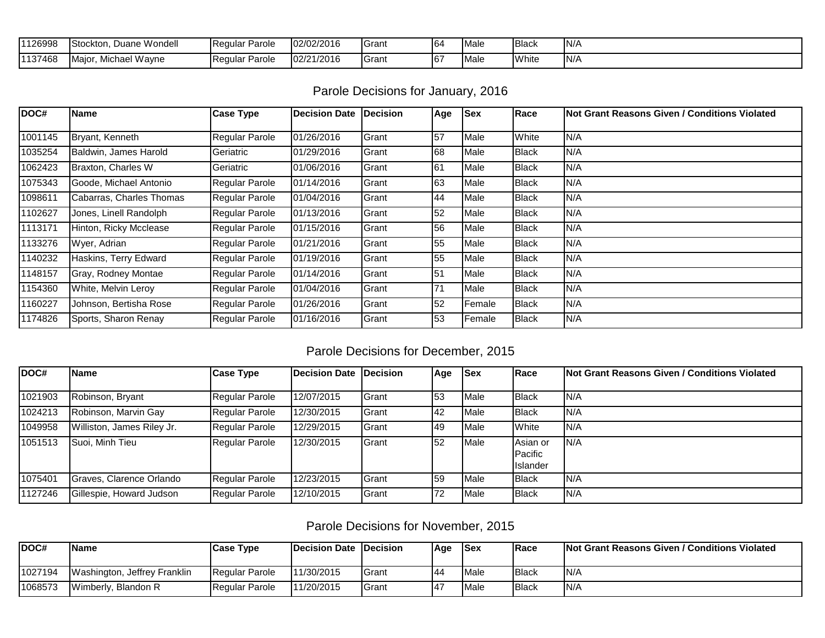| 1126998 | Duane Wondell<br>Stockton.    | <b>IReqular</b> I<br>Parole | 02/02/2016 | <b>I</b> Grant | 64  | <b>I</b> Male | <b>Black</b> | IN/A          |
|---------|-------------------------------|-----------------------------|------------|----------------|-----|---------------|--------------|---------------|
| 1137468 | Michael Wavne<br><b>Maior</b> | <b>IRequiar</b><br>Parole   | 02/21/2016 | <b>I</b> Grant | 167 | <b>Male</b>   | <b>White</b> | IN/A<br>1 W F |

## Parole Decisions for January, 2016

| DOC#    | <b>IName</b>             | <b>Case Type</b>      | Decision Date | <b>Decision</b> | Age | <b>Sex</b> | Race         | <b>INot Grant Reasons Given / Conditions Violated</b> |
|---------|--------------------------|-----------------------|---------------|-----------------|-----|------------|--------------|-------------------------------------------------------|
| 1001145 | Bryant, Kenneth          | Regular Parole        | 01/26/2016    | Grant           | 57  | Male       | White        | IN/A                                                  |
| 1035254 | Baldwin, James Harold    | Geriatric             | 01/29/2016    | Grant           | 68  | Male       | <b>Black</b> | IN/A                                                  |
| 1062423 | Braxton, Charles W       | Geriatric             | 01/06/2016    | Grant           | 61  | Male       | Black        | IN/A                                                  |
| 1075343 | Goode, Michael Antonio   | Regular Parole        | 01/14/2016    | Grant           | 63  | Male       | Black        | N/A                                                   |
| 1098611 | Cabarras, Charles Thomas | <b>Regular Parole</b> | 01/04/2016    | Grant           | 44  | Male       | Black        | IN/A                                                  |
| 1102627 | Jones, Linell Randolph   | Regular Parole        | 01/13/2016    | Grant           | 52  | Male       | Black        | N/A                                                   |
| 1113171 | Hinton, Ricky Mcclease   | Regular Parole        | 01/15/2016    | Grant           | 56  | Male       | Black        | IN/A                                                  |
| 1133276 | Wyer, Adrian             | Regular Parole        | 01/21/2016    | Grant           | 55  | Male       | Black        | IN/A                                                  |
| 1140232 | Haskins, Terry Edward    | <b>Regular Parole</b> | 01/19/2016    | Grant           | 55  | Male       | Black        | N/A                                                   |
| 1148157 | Gray, Rodney Montae      | Regular Parole        | 01/14/2016    | Grant           | 51  | Male       | Black        | IN/A                                                  |
| 1154360 | White, Melvin Leroy      | Regular Parole        | 01/04/2016    | Grant           | 71  | Male       | Black        | N/A                                                   |
| 1160227 | Johnson, Bertisha Rose   | Regular Parole        | 01/26/2016    | Grant           | 52  | Female     | Black        | N/A                                                   |
| 1174826 | Sports, Sharon Renay     | <b>Regular Parole</b> | 01/16/2016    | Grant           | 53  | Female     | Black        | IN/A                                                  |

### Parole Decisions for December, 2015

| DOC#    | <b>Name</b>                | <b>Case Type</b> | <b>Decision Date</b> | <b>IDecision</b> | Age | <b>Sex</b> | Race                                            | <b>Not Grant Reasons Given / Conditions Violated</b> |
|---------|----------------------------|------------------|----------------------|------------------|-----|------------|-------------------------------------------------|------------------------------------------------------|
| 1021903 | Robinson, Bryant           | Regular Parole   | 12/07/2015           | <b>I</b> Grant   | 53  | Male       | <b>Black</b>                                    | IN/A                                                 |
| 1024213 | Robinson, Marvin Gay       | Regular Parole   | 12/30/2015           | <b>I</b> Grant   | 42  | Male       | <b>Black</b>                                    | N/A                                                  |
| 1049958 | Williston, James Riley Jr. | Regular Parole   | 12/29/2015           | <b>I</b> Grant   | 49  | Male       | <b>White</b>                                    | N/A                                                  |
| 1051513 | Suoi, Minh Tieu            | Regular Parole   | 12/30/2015           | <b>I</b> Grant   | 52  | Male       | Asian or<br><b>I</b> Pacific<br><b>Islander</b> | IN/A                                                 |
| 1075401 | Graves, Clarence Orlando   | Regular Parole   | 12/23/2015           | <b>I</b> Grant   | 59  | Male       | <b>Black</b>                                    | N/A                                                  |
| 1127246 | Gillespie, Howard Judson   | Regular Parole   | 12/10/2015           | <b>I</b> Grant   | 72  | Male       | <b>Black</b>                                    | N/A                                                  |

### Parole Decisions for November, 2015

| IDOC#   | 'Name                        | <b>Case Type</b>      | <b>Decision Date</b> | <b>IDecision</b> | Aqe | <b>Sex</b>  | <b>IRace</b>   | <b>INot Grant Reasons Given / Conditions Violated</b> |
|---------|------------------------------|-----------------------|----------------------|------------------|-----|-------------|----------------|-------------------------------------------------------|
| 1027194 | Washington, Jeffrey Franklin | Regular Parole        | 11/30/2015           | Grant            | 44  | Male        | <b>I</b> Black | IN/A                                                  |
| 1068573 | Wimberly, Blandon R          | <b>Regular Parole</b> | 11/20/2015           | Grant            | 147 | <b>Male</b> | <b>Black</b>   | IN/A                                                  |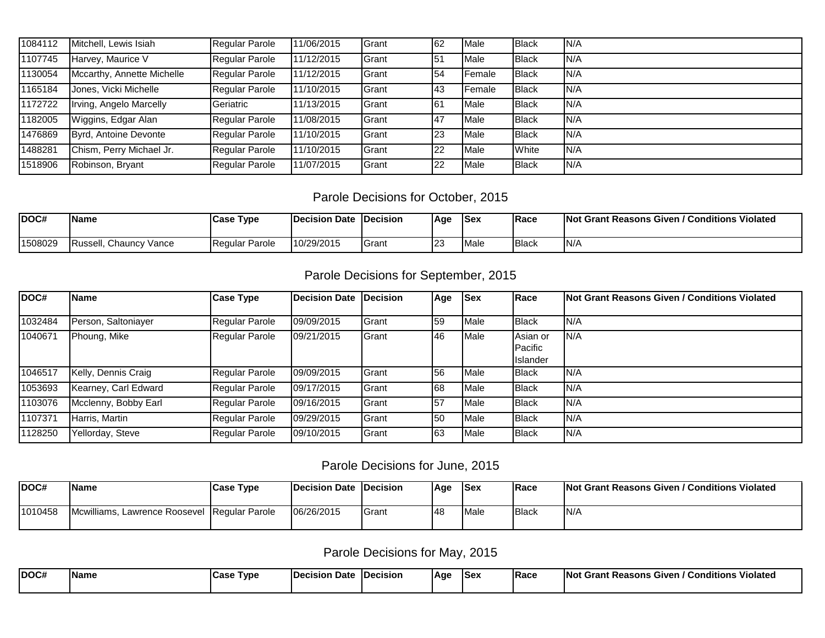| 1084112 | Mitchell, Lewis Isiah      | Regular Parole   | 11/06/2015 | <b>I</b> Grant | 62        | Male           | <b>Black</b>   | N/A  |
|---------|----------------------------|------------------|------------|----------------|-----------|----------------|----------------|------|
| 1107745 | Harvey, Maurice V          | Regular Parole   | 11/12/2015 | <b>I</b> Grant | 151       | <b>Male</b>    | <b>Black</b>   | N/A  |
| 1130054 | Mccarthy, Annette Michelle | Regular Parole   | 11/12/2015 | <b>I</b> Grant | 54        | <b>IFemale</b> | Black          | N/A  |
| 1165184 | Jones, Vicki Michelle      | Regular Parole   | 11/10/2015 | <b>I</b> Grant | 143       | <b>IFemale</b> | <b>Black</b>   | 'N/A |
| 1172722 | Irving, Angelo Marcelly    | <b>Geriatric</b> | 11/13/2015 | <b>I</b> Grant | 161       | Male           | <b>I</b> Black | 'N/A |
| 1182005 | Wiggins, Edgar Alan        | Regular Parole   | 11/08/2015 | <b>I</b> Grant | 47        | Male           | <b>I</b> Black | 'N/A |
| 1476869 | Byrd, Antoine Devonte      | Regular Parole   | 11/10/2015 | <b>I</b> Grant | <b>23</b> | <b>I</b> Male  | <b>Black</b>   | N/A  |
| 1488281 | Chism, Perry Michael Jr.   | Regular Parole   | 11/10/2015 | <b>I</b> Grant | 122       | Male           | White          | N/A  |
| 1518906 | Robinson, Bryant           | Regular Parole   | 11/07/2015 | Grant          | 22        | Male           | Black          | 'N/A |

### Parole Decisions for October, 2015

| DOC#    | <b>Name</b>                       | <b>Type</b><br>Case    | <b>IDecision Date</b> | <b>IDecision</b> | Age | <b>Sex</b>   | <b>IRace</b> | Violated ،<br><b>INo</b><br>/ Conditions<br>· Given ،<br>ot Grant Reasons i |
|---------|-----------------------------------|------------------------|-----------------------|------------------|-----|--------------|--------------|-----------------------------------------------------------------------------|
| 1508029 | Chauncy<br><b>Russel</b><br>Vance | <b>IRequiar Parole</b> | 10/29/2015            | Grant            | 123 | <b>IMale</b> | Black        | IN/4                                                                        |

### Parole Decisions for September, 2015

| DOC#    | <b>Name</b>          | <b>Case Type</b> | <b>Decision Date</b> | <b>IDecision</b> | Age       | <b>Sex</b> | Race                                    | <b>Not Grant Reasons Given / Conditions Violated</b> |
|---------|----------------------|------------------|----------------------|------------------|-----------|------------|-----------------------------------------|------------------------------------------------------|
| 1032484 | Person, Saltoniayer  | Regular Parole   | 09/09/2015           | Grant            | 59        | Male       | <b>Black</b>                            | N/A                                                  |
| 1040671 | Phoung, Mike         | Regular Parole   | 09/21/2015           | <b>I</b> Grant   | 46        | Male       | Asian or<br><b>IPacific</b><br>Islander | IN/A                                                 |
| 1046517 | Kelly, Dennis Craig  | Regular Parole   | 09/09/2015           | <b>I</b> Grant   | 56        | Male       | <b>I</b> Black                          | N/A                                                  |
| 1053693 | Kearney, Carl Edward | Regular Parole   | 09/17/2015           | Grant            | 68        | Male       | Black                                   | IN/A                                                 |
| 1103076 | Mcclenny, Bobby Earl | Regular Parole   | 09/16/2015           | <b>I</b> Grant   | 157       | Male       | Black                                   | N/A                                                  |
| 1107371 | Harris, Martin       | Regular Parole   | 09/29/2015           | <b>I</b> Grant   | <b>50</b> | Male       | Black                                   | N/A                                                  |
| 1128250 | Yellorday, Steve     | Regular Parole   | 09/10/2015           | Grant            | 63        | Male       | Black                                   | N/A                                                  |

### Parole Decisions for June, 2015

| IDOC#   | <b>IName</b>                          | <b>Case Type</b>             | Decision Date | <b>IDecision</b> | <b>Age</b> | <b>Sex</b>    | <b>IRace</b>   | <b>Not Grant Reasons Given / Conditions Violated</b> |
|---------|---------------------------------------|------------------------------|---------------|------------------|------------|---------------|----------------|------------------------------------------------------|
| 1010458 | <b>IMcwilliams, Lawrence Roosevel</b> | <sup>'</sup> IRegular Parole | 06/26/2015    | Grant            | 148        | <b>I</b> Male | <b>I</b> Black | IN/A                                                 |

Parole Decisions for May, 2015

| IDOC# | <b>IName</b> | <b>ICase</b><br>Type | <b>IDecision</b><br>Date | --<br><b>IDe</b><br><b>cision</b> | l Aqe | ISex | <b>Race</b> | .<br><br>INot<br>Conditions<br><b>Violated</b><br>Given 1<br><i>ເ</i> Grant Reasons |
|-------|--------------|----------------------|--------------------------|-----------------------------------|-------|------|-------------|-------------------------------------------------------------------------------------|
|       |              |                      |                          |                                   |       |      |             |                                                                                     |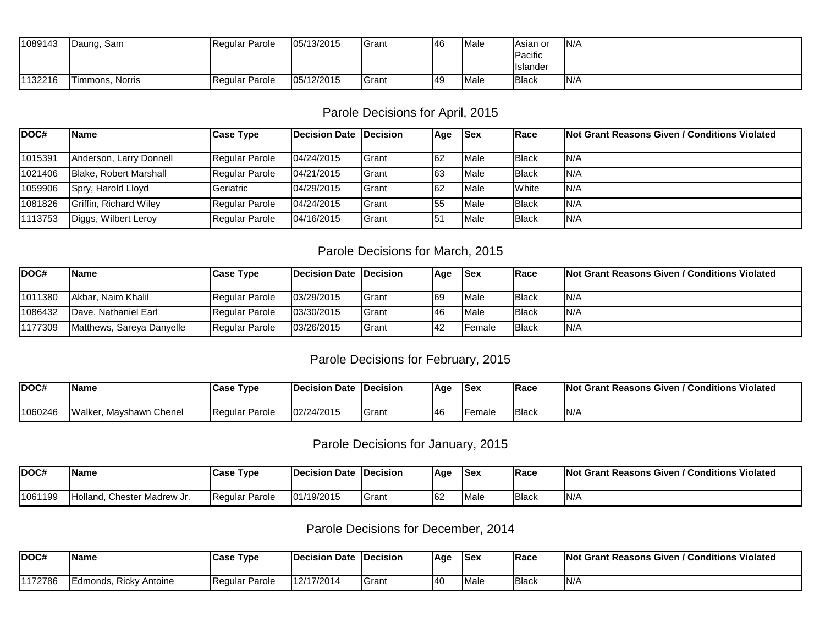| 1089143 | Daung, Sam               | Regular Parole | 05/13/2015 | <b>I</b> Grant | 46 | Male | ∎Asian or<br><b>IPacific</b><br><b>Ilslander</b> | IN/A |
|---------|--------------------------|----------------|------------|----------------|----|------|--------------------------------------------------|------|
| 1132216 | <b>I</b> Timmons, Norris | Regular Parole | 05/12/2015 | <b>I</b> Grant | 49 | Male | <b>Black</b>                                     | IN/A |

### Parole Decisions for April, 2015

| DOC#    | <b>IName</b>            | Case Type      | Decision Date Decision |                | Age | <b>ISex</b> | <b>IRace</b>   | <b>Not Grant Reasons Given / Conditions Violated</b> |
|---------|-------------------------|----------------|------------------------|----------------|-----|-------------|----------------|------------------------------------------------------|
|         |                         |                |                        |                |     |             |                |                                                      |
| 1015391 | Anderson, Larry Donnell | Regular Parole | 04/24/2015             | <b>I</b> Grant | 62  | Male        | <b>I</b> Black | IN/A                                                 |
| 1021406 | Blake, Robert Marshall  | Regular Parole | 04/21/2015             | <b>I</b> Grant | 163 | Male        | <b>I</b> Black | IN/A                                                 |
| 1059906 | Spry, Harold Lloyd      | Geriatric      | 04/29/2015             | <b>I</b> Grant | 62  | Male        | <b>White</b>   | N/A                                                  |
| 1081826 | Griffin, Richard Wiley  | Regular Parole | 04/24/2015             | <b>I</b> Grant | 55  | Male        | <b>Black</b>   | IN/A                                                 |
| 1113753 | Diggs, Wilbert Leroy    | Regular Parole | 04/16/2015             | <b>I</b> Grant | 51  | Male        | <b>Black</b>   | IN/A                                                 |

### Parole Decisions for March, 2015

| DOC#    | <b>Name</b>                | <b>Case Type</b>        | Decision Date Decision |                | <b>A</b> qe | <b>ISex</b> | <b>IRace</b>   | <b>INot Grant Reasons Given / Conditions Violated</b> |
|---------|----------------------------|-------------------------|------------------------|----------------|-------------|-------------|----------------|-------------------------------------------------------|
| 1011380 | <b>IAkbar. Naim Khalil</b> | <b>IReqular Parole</b>  | 03/29/2015             | <b>I</b> Grant | 169         | Male        | IBlack         | IN/A                                                  |
| 1086432 | Dave, Nathaniel Earl       | <b>I</b> Regular Parole | 03/30/2015             | Grant          | 146         | Male        | <b>I</b> Black | IN/A                                                  |
| 1177309 | Matthews, Sareya Danyelle  | <b>I</b> Regular Parole | 03/26/2015             | <b>I</b> Grant | 142         | lFemale     | <b>I</b> Black | IN/A                                                  |

#### Parole Decisions for February, 2015

| DOC#    | <b>Name</b>                | Case Type              | Decision Date | <b>IDecision</b> | Age | lSex   | <b>Race</b>    | <b>Not Grant Reasons Given / Conditions Violated</b> |
|---------|----------------------------|------------------------|---------------|------------------|-----|--------|----------------|------------------------------------------------------|
| 1060246 | Walker,<br>Mavshawn Chenel | <b>IRegular Parole</b> | 02/24/2015    | <b>'Grant</b>    | 146 | Female | <b>I</b> Black | IN/A                                                 |

### Parole Decisions for January, 2015

| IDOC#   | <b>IName</b>                     | lCase<br><b>Type</b>   | <b>IDecision Date</b> | <b>IDecision</b> | Age | <b>Sex</b>  | <b>IRace</b> | / Conditions Violated<br><b>Not Grant Reasons</b><br><b>Given</b> |
|---------|----------------------------------|------------------------|-----------------------|------------------|-----|-------------|--------------|-------------------------------------------------------------------|
| 1061199 | . Chester Madrew Jr.<br>Holland. | <b>IRegular Parole</b> | 01/19/2015            | Grant            | 162 | <b>Male</b> | <b>Black</b> | N/F                                                               |

Parole Decisions for December, 2014

| IDOC#   | <b>IName</b>                 | <b>ICase Type</b> | <b>Decision Date</b> | <b>IDecision</b> | Age | lSex        | <b>Race</b>    | / Conditions Violated<br><b>INot Grant Reasons Given /</b> |
|---------|------------------------------|-------------------|----------------------|------------------|-----|-------------|----------------|------------------------------------------------------------|
| 1172786 | . Rickv Antoine<br>IEdmonds. | Regular Parole    | 12/17/2014           | Grant            | 140 | <b>Male</b> | <b>I</b> Black | N/t                                                        |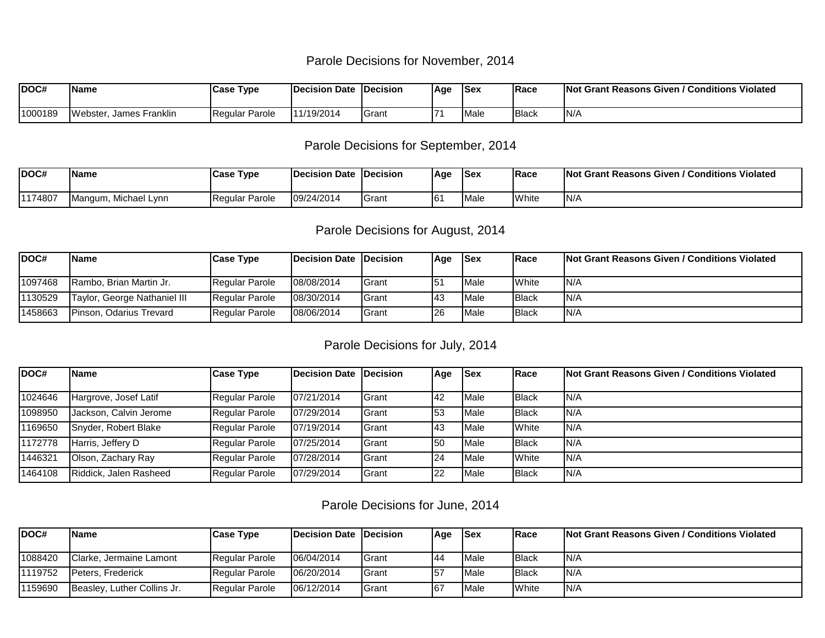#### Parole Decisions for November, 2014

| DOC#    | <b>Name</b>                   | <b>Case Type</b>       | <b>IDecision Date IDecision</b> |       | Age | lSex        | Race         | / Conditions Violated<br><b>INot Grant Reasons Given /</b> |
|---------|-------------------------------|------------------------|---------------------------------|-------|-----|-------------|--------------|------------------------------------------------------------|
| 1000189 | Webster,<br>Franklin<br>James | <b>IRegular Parole</b> | 11/19/2014                      | Grant |     | <b>Male</b> | <b>Black</b> | IN/4                                                       |

#### Parole Decisions for September, 2014

| IDOC#   | <b>IName</b>         | <b>ICase Type</b> | <b>IDecision Date</b> | <b>IDecision</b> | Age | <b>ISex</b>  | <b>IRace</b>   | <b>Not Grant Reasons Given / Conditions Violated</b> |
|---------|----------------------|-------------------|-----------------------|------------------|-----|--------------|----------------|------------------------------------------------------|
| 1174807 | Mangum, Michael Lynn | Regular Parole    | 09/24/2014            | <b>I</b> Grant   | I6. | . .<br>∥Male | <b>I</b> White | N/A                                                  |

### Parole Decisions for August, 2014

| IDOC#   | l Name                          | Case Type              | <b>IDecision Date IDecision</b> |       | Age       | <b>ISex</b> | <b>IRace</b>   | <b>INot Grant Reasons Given / Conditions Violated</b> |
|---------|---------------------------------|------------------------|---------------------------------|-------|-----------|-------------|----------------|-------------------------------------------------------|
| 1097468 | Rambo, Brian Martin Jr.         | <b>IReqular Parole</b> | 08/08/2014                      | Grant | 151       | Male        | <b>White</b>   | IN/A                                                  |
| 1130529 | Taylor, George Nathaniel III    | <b>IReqular Parole</b> | 08/30/2014                      | Grant | <b>43</b> | Male        | <b>I</b> Black | IN/A                                                  |
| 1458663 | <b>IPinson. Odarius Trevard</b> | <b>IReqular Parole</b> | 08/06/2014                      | Grant | <b>26</b> | Male        | <b>I</b> Black | IN/A                                                  |

### Parole Decisions for July, 2014

| DOC#    | <b>Name</b>            | <b>Case Type</b> | Decision Date Decision |                | Age       | <b>Sex</b>  | <b>IRace</b>   | <b>INot Grant Reasons Given / Conditions Violated</b> |
|---------|------------------------|------------------|------------------------|----------------|-----------|-------------|----------------|-------------------------------------------------------|
|         |                        |                  |                        |                |           |             |                |                                                       |
| 1024646 | Hargrove, Josef Latif  | Regular Parole   | 07/21/2014             | <b>I</b> Grant | <b>42</b> | <b>Male</b> | <b>Black</b>   | IN/A                                                  |
| 1098950 | Jackson, Calvin Jerome | Regular Parole   | 07/29/2014             | <b>I</b> Grant | 53        | <b>Male</b> | <b>Black</b>   | 'N/A                                                  |
| 1169650 | Snyder, Robert Blake   | Regular Parole   | 07/19/2014             | <b>I</b> Grant | 43        | <b>Male</b> | <b>White</b>   | IN/A                                                  |
| 1172778 | Harris, Jeffery D      | Regular Parole   | 07/25/2014             | <b>I</b> Grant | 50        | <b>Male</b> | <b>Black</b>   | 'N/A                                                  |
| 1446321 | Olson, Zachary Ray     | Regular Parole   | 07/28/2014             | <b>I</b> Grant | 24        | <b>Male</b> | <b>I</b> White | IN/A                                                  |
| 1464108 | Riddick, Jalen Rasheed | Regular Parole   | 07/29/2014             | <b>I</b> Grant | <b>22</b> | Male        | <b>Black</b>   | IN/A                                                  |

| IDOC#   | lName                       | Case Type               | <b>IDecision Date IDecision</b> |       | <b>A</b> qe | <b>ISex</b> | <b>IRace</b>   | <b>INot Grant Reasons Given / Conditions Violated</b> |
|---------|-----------------------------|-------------------------|---------------------------------|-------|-------------|-------------|----------------|-------------------------------------------------------|
| 1088420 | Clarke, Jermaine Lamont     | <b>I</b> Regular Parole | 06/04/2014                      | Grant | 44          | Male        | <b>IBlack</b>  | IN/A                                                  |
| 1119752 | <b>I</b> Peters, Frederick  | Regular Parole          | 06/20/2014                      | Grant | 157         | Male        | <b>I</b> Black | IN/A                                                  |
| 1159690 | Beasley, Luther Collins Jr. | Regular Parole          | 06/12/2014                      | Grant | 167         | Male        | <b>I</b> White | IN/A                                                  |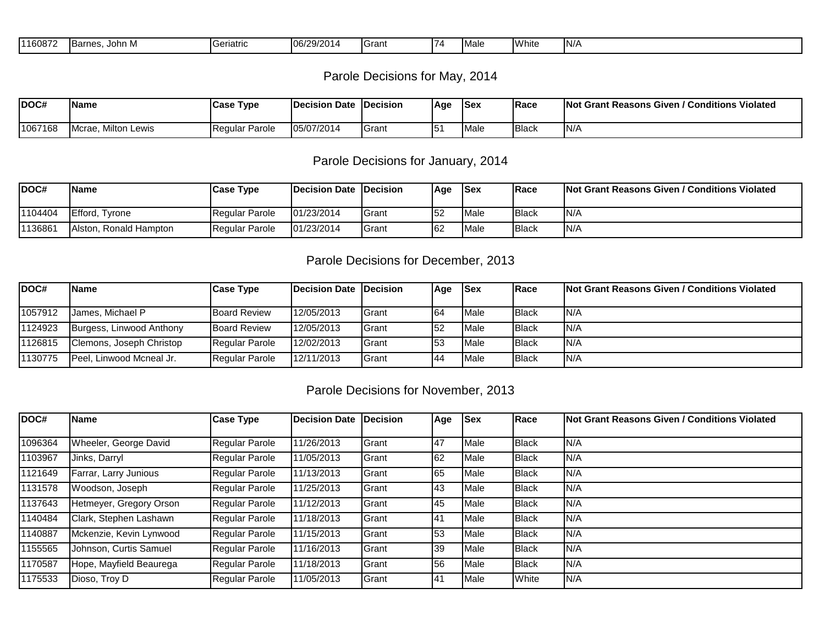| 1160872 | <b>I</b> Barnes<br>John M | Geriatric | 06/29/201 | <b>I</b> Grant | <b>Male</b> | <b>White</b> | IN/A |
|---------|---------------------------|-----------|-----------|----------------|-------------|--------------|------|
|         |                           |           |           |                |             |              |      |

| DOC#    | <b>Name</b>              | Case Type                       | <b>IDecision Date</b> | <b>IDecision</b> | Age | <b>Sex</b>  | Race         | / Conditions Violated<br><b>INot Grant Reasons Given /</b> |
|---------|--------------------------|---------------------------------|-----------------------|------------------|-----|-------------|--------------|------------------------------------------------------------|
| 1067168 | , Milton Lewis<br>Mcrae. | <b>IRegulai</b><br>≅llar Parole | 05/07/2014            | Grant            | 5۰  | <b>Male</b> | <b>Black</b> | N/F                                                        |

### Parole Decisions for January, 2014

| IDOC#   | <b>IName</b>           | <b>Case Type</b>       | Decision Date Decision |                | Age       | <b>ISex</b> | <b>IRace</b> | <b>Not Grant Reasons Given / Conditions Violated</b> |
|---------|------------------------|------------------------|------------------------|----------------|-----------|-------------|--------------|------------------------------------------------------|
| 1104404 | <b>Efford.</b> Tyrone  | <b>Regular Parole</b>  | 01/23/2014             | <b>I</b> Grant | <b>52</b> | ∎Male       | <b>Black</b> | IN/A                                                 |
| 1136861 | Alston, Ronald Hampton | <b>IRegular Parole</b> | 01/23/2014             | <b>I</b> Grant | 62        | Male        | <b>Black</b> | IN/A                                                 |

#### Parole Decisions for December, 2013

| DOC#    | <b>Name</b>              | Case Type           | Decision Date Decision |       | Age       | <b>ISex</b>   | <b>IRace</b>  | <b>INot Grant Reasons Given / Conditions Violated</b> |
|---------|--------------------------|---------------------|------------------------|-------|-----------|---------------|---------------|-------------------------------------------------------|
| 1057912 | Uames. Michael P         | <b>Board Review</b> | 12/05/2013             | Grant | 164       | <b>Male</b>   | <b>IBlack</b> | IN/A                                                  |
| 1124923 | Burgess, Linwood Anthony | <b>Board Review</b> | 12/05/2013             | Grant | <b>52</b> | <b>I</b> Male | <b>IBlack</b> | IN/A                                                  |
| 1126815 | Clemons, Joseph Christop | Regular Parole      | 12/02/2013             | Grant | 153       | <b>Male</b>   | <b>IBlack</b> | IN/A                                                  |
| 1130775 | Peel, Linwood Mcneal Jr. | Regular Parole      | 12/11/2013             | Grant | <b>44</b> | 'Male         | <b>IBlack</b> | IN/A                                                  |

#### Parole Decisions for November, 2013

| DOC#    | <b>Name</b>             | <b>Case Type</b>      | <b>Decision Date</b> | <b>IDecision</b> | Age | <b>Sex</b> | Race         | <b>Not Grant Reasons Given / Conditions Violated</b> |
|---------|-------------------------|-----------------------|----------------------|------------------|-----|------------|--------------|------------------------------------------------------|
| 1096364 | Wheeler, George David   | Regular Parole        | 1/26/2013            | <b>Grant</b>     | 147 | Male       | Black        | IN/A                                                 |
| 1103967 | Jinks, Darryl           | Regular Parole        | 11/05/2013           | <b>Grant</b>     | 62  | Male       | Black        | N/A                                                  |
| 1121649 | Farrar, Larry Junious   | <b>Regular Parole</b> | 11/13/2013           | <b>Grant</b>     | 65  | Male       | Black        | N/A                                                  |
| 1131578 | Woodson, Joseph         | Regular Parole        | 11/25/2013           | Grant            | 43  | Male       | Black        | IN/A                                                 |
| 1137643 | Hetmeyer, Gregory Orson | Regular Parole        | 11/12/2013           | <b>Grant</b>     | 45  | Male       | Black        | IN/A                                                 |
| 1140484 | Clark, Stephen Lashawn  | Regular Parole        | 11/18/2013           | Grant            | 41  | Male       | Black        | N/A                                                  |
| 1140887 | Mckenzie, Kevin Lynwood | Regular Parole        | 11/15/2013           | Grant            | 53  | Male       | Black        | IN/A                                                 |
| 1155565 | Johnson, Curtis Samuel  | Regular Parole        | 11/16/2013           | <b>Grant</b>     | 39  | Male       | Black        | N/A                                                  |
| 1170587 | Hope, Mayfield Beaurega | Regular Parole        | 11/18/2013           | <b>Grant</b>     | 56  | Male       | Black        | IN/A                                                 |
| 1175533 | Dioso, Troy D           | <b>Regular Parole</b> | 1/05/2013            | Grant            | 41  | Male       | <b>White</b> | N/A                                                  |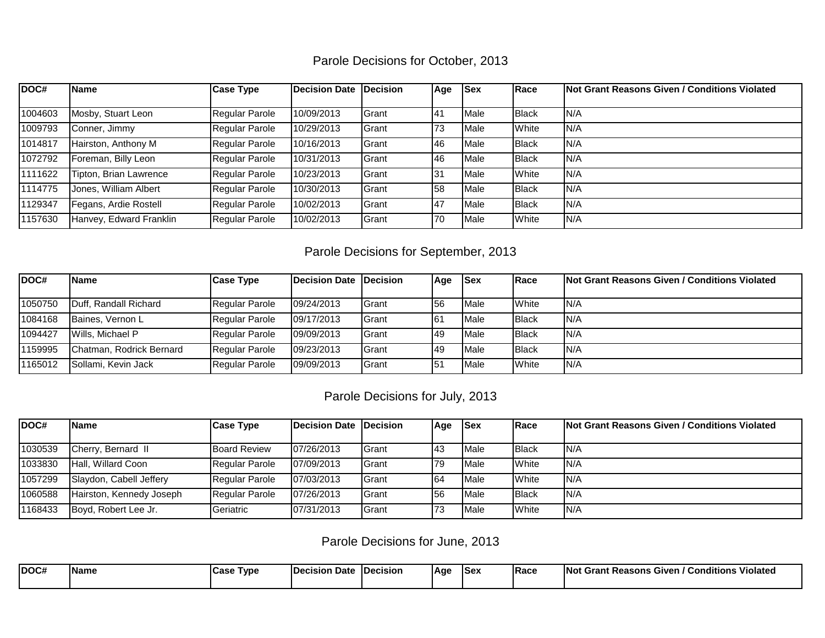#### Parole Decisions for October, 2013

| DOC#    | <b>IName</b>                  | Case Type             | Decision Date Decision |                | Age | <b>ISex</b> | <b>IRace</b> | <b>Not Grant Reasons Given / Conditions Violated</b> |
|---------|-------------------------------|-----------------------|------------------------|----------------|-----|-------------|--------------|------------------------------------------------------|
| 1004603 | Mosby, Stuart Leon            | Regular Parole        | 10/09/2013             | <b>I</b> Grant | 41  | Male        | Black        | IN/A                                                 |
| 1009793 | Conner, Jimmy                 | Regular Parole        | 10/29/2013             | <b>I</b> Grant | 73  | Male        | <b>White</b> | IN/A                                                 |
| 1014817 | Hairston, Anthony M           | Regular Parole        | 10/16/2013             | <b>I</b> Grant | 146 | Male        | <b>Black</b> | IN/A                                                 |
| 1072792 | Foreman, Billy Leon           | <b>Regular Parole</b> | 10/31/2013             | <b>I</b> Grant | 146 | <b>Male</b> | <b>Black</b> | IN/A                                                 |
| 1111622 | <b>Tipton, Brian Lawrence</b> | <b>Regular Parole</b> | 10/23/2013             | <b>I</b> Grant | 31  | Male        | <b>White</b> | IN/A                                                 |
| 1114775 | Jones, William Albert         | <b>Regular Parole</b> | 10/30/2013             | <b>I</b> Grant | 58  | Male        | Black        | IN/A                                                 |
| 1129347 | Fegans, Ardie Rostell         | Regular Parole        | 10/02/2013             | <b>I</b> Grant | 147 | Male        | <b>Black</b> | IN/A                                                 |
| 1157630 | Hanvey, Edward Franklin       | Regular Parole        | 10/02/2013             | <b>I</b> Grant | 70  | Male        | White        | IN/A                                                 |

### Parole Decisions for September, 2013

| DOC#    | <b>IName</b>                | <b>Case Type</b>      | Decision Date Decision |                | Age             | <b>ISex</b> | <b>IRace</b>   | <b>INot Grant Reasons Given / Conditions Violated</b> |
|---------|-----------------------------|-----------------------|------------------------|----------------|-----------------|-------------|----------------|-------------------------------------------------------|
| 1050750 | Duff. Randall Richard       | <b>Regular Parole</b> | 09/24/2013             | <b>I</b> Grant | <b>156</b>      | Male        | <b>White</b>   | IN/A                                                  |
| 1084168 | Baines, Vernon L            | Regular Parole        | 09/17/2013             | <b>I</b> Grant | 161             | Male        | <b>I</b> Black | IN/A                                                  |
| 1094427 | <b>Wills, Michael P</b>     | <b>Regular Parole</b> | 09/09/2013             | Grant          | 49              | Male        | <b>I</b> Black | IN/A                                                  |
| 1159995 | IChatman. Rodrick Bernard   | Regular Parole        | 09/23/2013             | <b>I</b> Grant | 149             | Male        | Black          | IN/A                                                  |
| 1165012 | <b>ISollami, Kevin Jack</b> | <b>Regular Parole</b> | 09/09/2013             | Grant          | 15 <sup>1</sup> | Male        | <b>I</b> White | IN/A                                                  |

### Parole Decisions for July, 2013

| IDOC#   | <b>Name</b>              | <b>Case Type</b>    | Decision Date Decision |                | Age        | <b>ISex</b> | Race           | <b>Not Grant Reasons Given / Conditions Violated</b> |
|---------|--------------------------|---------------------|------------------------|----------------|------------|-------------|----------------|------------------------------------------------------|
|         |                          |                     |                        |                |            |             |                |                                                      |
| 1030539 | Cherry, Bernard II       | <b>Board Review</b> | 07/26/2013             | <b>I</b> Grant | <b>143</b> | Male        | <b>I</b> Black | IN/A                                                 |
| 1033830 | Hall, Willard Coon       | Regular Parole      | 07/09/2013             | <b>I</b> Grant | 79         | Male        | <b>White</b>   | IN/A                                                 |
| 1057299 | Slaydon, Cabell Jeffery  | Regular Parole      | 07/03/2013             | <b>I</b> Grant | 64         | Male        | <b>White</b>   | IN/A                                                 |
| 1060588 | Hairston, Kennedy Joseph | Regular Parole      | 07/26/2013             | <b>I</b> Grant | 156        | Male        | <b>I</b> Black | IN/A                                                 |
| 1168433 | Boyd, Robert Lee Jr.     | Geriatric           | 07/31/2013             | <b>I</b> Grant | 73         | Male        | <b>White</b>   | IN/A                                                 |

| $\overline{DOC#}$ | <b>Name</b> | ⊺vpe<br>∪u. ∪ | Date<br>:ısı∩r | <b>IDecision</b> | <b>IAge</b> | <b>ISex</b> | <b>Daco</b><br>ικαιτ | .<br>.<br>INc<br><b>ੋ Violate</b> ∟<br>Given<br>ำran⊾<br>Reasons<br>' Conditions |
|-------------------|-------------|---------------|----------------|------------------|-------------|-------------|----------------------|----------------------------------------------------------------------------------|
|                   |             |               |                |                  |             |             |                      |                                                                                  |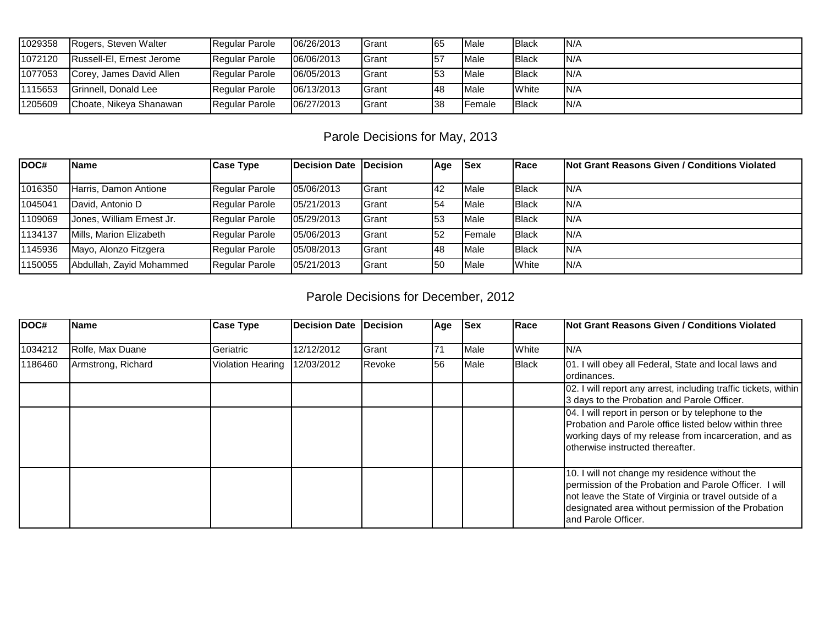| 1029358 | Rogers, Steven Walter     | Regular Parole        | 06/26/2013 | <b>I</b> Grant | 165 | <b>Male</b>    | <b>I</b> Black | IN/A |
|---------|---------------------------|-----------------------|------------|----------------|-----|----------------|----------------|------|
| 1072120 | Russell-El, Ernest Jerome | <b>Regular Parole</b> | 06/06/2013 | <b>I</b> Grant | 57  | <b>Male</b>    | <b>I</b> Black | IN/A |
| 1077053 | Corey, James David Allen  | Regular Parole        | 06/05/2013 | <b>I</b> Grant | 153 | Male           | <b>I</b> Black | IN/A |
| 1115653 | Grinnell, Donald Lee      | Regular Parole        | 06/13/2013 | <b>I</b> Grant | 148 | <b>Male</b>    | <b>White</b>   | IN/A |
| 1205609 | Choate, Nikeya Shanawan   | Regular Parole        | 06/27/2013 | <b>I</b> Grant | 38  | <b>IFemale</b> | <b>IBlack</b>  | IN/A |

| DOC#    | <b>IName</b>              | <b>Case Type</b>      | Decision Date Decision |                | Age | <b>ISex</b> | Race           | <b>Not Grant Reasons Given / Conditions Violated</b> |
|---------|---------------------------|-----------------------|------------------------|----------------|-----|-------------|----------------|------------------------------------------------------|
|         |                           |                       |                        |                |     |             |                |                                                      |
| 1016350 | Harris, Damon Antione     | Regular Parole        | 05/06/2013             | <b>I</b> Grant | 142 | Male        | <b>I</b> Black | IN/A                                                 |
| 1045041 | David. Antonio D          | <b>Regular Parole</b> | 05/21/2013             | <b>I</b> Grant | 54  | Male        | <b>I</b> Black | IN/A                                                 |
| 1109069 | Jones, William Ernest Jr. | Regular Parole        | 05/29/2013             | <b>I</b> Grant | 153 | Male        | <b>Black</b>   | IN/A                                                 |
| 1134137 | Mills, Marion Elizabeth   | Regular Parole        | 05/06/2013             | <b>I</b> Grant | 52  | Female      | Black          | IN/A                                                 |
| 1145936 | Mayo, Alonzo Fitzgera     | Regular Parole        | 05/08/2013             | <b>I</b> Grant | 48  | Male        | <b>Black</b>   | IN/A                                                 |
| 1150055 | Abdullah, Zayid Mohammed  | <b>Regular Parole</b> | 05/21/2013             | <b>I</b> Grant | 50  | Male        | <b>White</b>   | IN/A                                                 |

# Parole Decisions for December, 2012

| DOC#    | <b>Name</b>        | <b>Case Type</b>             | Decision Date | <b>IDecision</b> | Age | <b>Sex</b>  | Race         | <b>Not Grant Reasons Given / Conditions Violated</b>                                                                                                                                                                                               |
|---------|--------------------|------------------------------|---------------|------------------|-----|-------------|--------------|----------------------------------------------------------------------------------------------------------------------------------------------------------------------------------------------------------------------------------------------------|
| 1034212 | Rolfe, Max Duane   | <b>Geriatric</b>             | 12/12/2012    | <b>I</b> Grant   | 71  | <b>Male</b> | <b>White</b> | IN/A                                                                                                                                                                                                                                               |
| 1186460 | Armstrong, Richard | Violation Hearing 12/03/2012 |               | Revoke           | 56  | Male        | Black        | 01. I will obey all Federal, State and local laws and<br>ordinances.                                                                                                                                                                               |
|         |                    |                              |               |                  |     |             |              | [02. I will report any arrest, including traffic tickets, within  <br>3 days to the Probation and Parole Officer.                                                                                                                                  |
|         |                    |                              |               |                  |     |             |              | 04. I will report in person or by telephone to the<br>Probation and Parole office listed below within three<br>working days of my release from incarceration, and as<br>lotherwise instructed thereafter.                                          |
|         |                    |                              |               |                  |     |             |              | 10. I will not change my residence without the<br>Ipermission of the Probation and Parole Officer. I will<br>not leave the State of Virginia or travel outside of a<br>designated area without permission of the Probation<br>land Parole Officer. |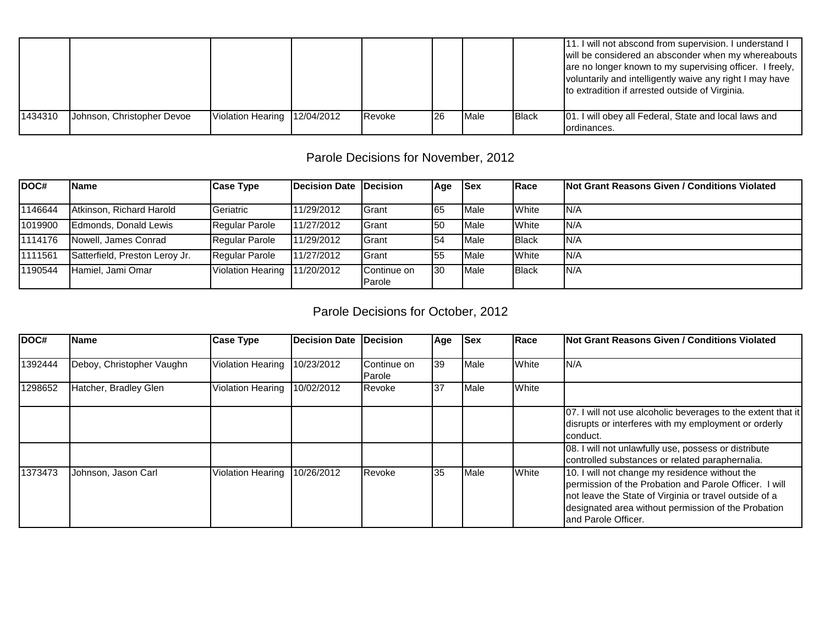|         |                            |                              |        |           |             |                | 11. I will not abscond from supervision. I understand I<br>will be considered an absconder when my whereabouts<br>are no longer known to my supervising officer. I freely,<br>voluntarily and intelligently waive any right I may have<br>to extradition if arrested outside of Virginia. |
|---------|----------------------------|------------------------------|--------|-----------|-------------|----------------|-------------------------------------------------------------------------------------------------------------------------------------------------------------------------------------------------------------------------------------------------------------------------------------------|
| 1434310 | Johnson, Christopher Devoe | Violation Hearing 12/04/2012 | Revoke | <b>26</b> | <b>Male</b> | <b>I</b> Black | [01. I will obey all Federal, State and local laws and<br>lordinances.                                                                                                                                                                                                                    |

## Parole Decisions for November, 2012

| DOC#    | <b>IName</b>                   | <b>Case Type</b>             | Decision Date | <b>IDecision</b>      | Age        | <b>ISex</b> | <b>IRace</b>   | <b>Not Grant Reasons Given / Conditions Violated</b> |
|---------|--------------------------------|------------------------------|---------------|-----------------------|------------|-------------|----------------|------------------------------------------------------|
|         |                                |                              |               |                       |            |             |                |                                                      |
| 1146644 | Atkinson, Richard Harold       | Geriatric                    | 11/29/2012    | <b>I</b> Grant        | 165        | Male        | <b>White</b>   | IN/A                                                 |
| 1019900 | Edmonds, Donald Lewis          | Regular Parole               | 11/27/2012    | <b>I</b> Grant        | <b>150</b> | Male        | <b>White</b>   | IN/A                                                 |
| 1114176 | Nowell, James Conrad           | Regular Parole               | 11/29/2012    | <b>I</b> Grant        | 54         | Male        | <b>I</b> Black | N/A                                                  |
| 1111561 | Satterfield, Preston Leroy Jr. | Regular Parole               | 11/27/2012    | Grant                 | 55         | Male        | <b>White</b>   | IN/A                                                 |
| 1190544 | Hamiel, Jami Omar              | Violation Hearing 11/20/2012 |               | Continue on<br>Parole | 130        | Male        | <b>Black</b>   | IN/A                                                 |

## Parole Decisions for October, 2012

| DOC#    | <b>Name</b>               | <b>Case Type</b>             | <b>Decision Date</b> | <b>IDecision</b>      | Age | <b>Sex</b>  | <b>IRace</b> | <b>Not Grant Reasons Given / Conditions Violated</b>                                                                                                                                                                                              |
|---------|---------------------------|------------------------------|----------------------|-----------------------|-----|-------------|--------------|---------------------------------------------------------------------------------------------------------------------------------------------------------------------------------------------------------------------------------------------------|
| 1392444 | Deboy, Christopher Vaughn | Violation Hearing 10/23/2012 |                      | Continue on<br>Parole | 39  | Male        | <b>White</b> | N/A                                                                                                                                                                                                                                               |
| 1298652 | Hatcher, Bradley Glen     | Violation Hearing 10/02/2012 |                      | Revoke                | 137 | <b>Male</b> | White        |                                                                                                                                                                                                                                                   |
|         |                           |                              |                      |                       |     |             |              | [07. I will not use alcoholic beverages to the extent that it<br>disrupts or interferes with my employment or orderly<br>Iconduct.                                                                                                                |
|         |                           |                              |                      |                       |     |             |              | 08. I will not unlawfully use, possess or distribute<br>controlled substances or related paraphernalia.                                                                                                                                           |
| 1373473 | Johnson, Jason Carl       | Violation Hearing 10/26/2012 |                      | Revoke                | 35  | Male        | <b>White</b> | 10. I will not change my residence without the<br>permission of the Probation and Parole Officer. I will<br>not leave the State of Virginia or travel outside of a<br>designated area without permission of the Probation<br>land Parole Officer. |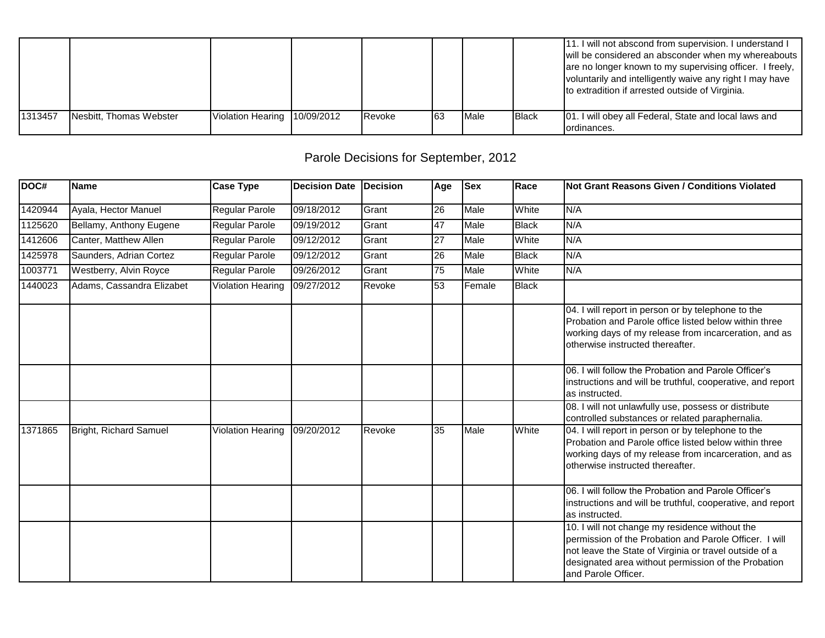|         |                         |                              |               |    |       |              | 11. I will not abscond from supervision. I understand I<br>will be considered an absconder when my whereabouts<br>are no longer known to my supervising officer. I freely,<br>voluntarily and intelligently waive any right I may have<br>to extradition if arrested outside of Virginia. |
|---------|-------------------------|------------------------------|---------------|----|-------|--------------|-------------------------------------------------------------------------------------------------------------------------------------------------------------------------------------------------------------------------------------------------------------------------------------------|
| 1313457 | Nesbitt, Thomas Webster | Violation Hearing 10/09/2012 | <b>Revoke</b> | 63 | ∎Male | <b>Black</b> | [01. I will obey all Federal, State and local laws and                                                                                                                                                                                                                                    |
|         |                         |                              |               |    |       |              | lordinances.                                                                                                                                                                                                                                                                              |

## Parole Decisions for September, 2012

| DOC#    | Name                      | <b>Case Type</b>         | <b>Decision Date</b> | <b>Decision</b> | Age             | <b>Sex</b> | Race         | <b>INot Grant Reasons Given / Conditions Violated</b>                                                                                                                                                                                            |
|---------|---------------------------|--------------------------|----------------------|-----------------|-----------------|------------|--------------|--------------------------------------------------------------------------------------------------------------------------------------------------------------------------------------------------------------------------------------------------|
| 1420944 | Ayala, Hector Manuel      | Regular Parole           | 09/18/2012           | Grant           | 26              | Male       | White        | N/A                                                                                                                                                                                                                                              |
| 1125620 | Bellamy, Anthony Eugene   | Regular Parole           | 09/19/2012           | Grant           | 47              | Male       | Black        | N/A                                                                                                                                                                                                                                              |
| 1412606 | Canter, Matthew Allen     | Regular Parole           | 09/12/2012           | Grant           | 27              | Male       | White        | N/A                                                                                                                                                                                                                                              |
| 1425978 | Saunders, Adrian Cortez   | <b>Regular Parole</b>    | 09/12/2012           | Grant           | $\overline{26}$ | Male       | <b>Black</b> | N/A                                                                                                                                                                                                                                              |
| 1003771 | Westberry, Alvin Royce    | Regular Parole           | 09/26/2012           | Grant           | 75              | Male       | White        | N/A                                                                                                                                                                                                                                              |
| 1440023 | Adams, Cassandra Elizabet | Violation Hearing        | 09/27/2012           | Revoke          | 53              | Female     | <b>Black</b> |                                                                                                                                                                                                                                                  |
|         |                           |                          |                      |                 |                 |            |              | 04. I will report in person or by telephone to the<br>Probation and Parole office listed below within three<br>working days of my release from incarceration, and as<br>otherwise instructed thereafter.                                         |
|         |                           |                          |                      |                 |                 |            |              | 06. I will follow the Probation and Parole Officer's<br>instructions and will be truthful, cooperative, and report<br>as instructed.                                                                                                             |
|         |                           |                          |                      |                 |                 |            |              | 08. I will not unlawfully use, possess or distribute<br>controlled substances or related paraphernalia.                                                                                                                                          |
| 1371865 | Bright, Richard Samuel    | <b>Violation Hearing</b> | 09/20/2012           | Revoke          | 35              | Male       | White        | 04. I will report in person or by telephone to the<br>Probation and Parole office listed below within three<br>working days of my release from incarceration, and as<br>otherwise instructed thereafter.                                         |
|         |                           |                          |                      |                 |                 |            |              | 06. I will follow the Probation and Parole Officer's<br>instructions and will be truthful, cooperative, and report<br>as instructed.                                                                                                             |
|         |                           |                          |                      |                 |                 |            |              | 10. I will not change my residence without the<br>permission of the Probation and Parole Officer. I will<br>not leave the State of Virginia or travel outside of a<br>designated area without permission of the Probation<br>and Parole Officer. |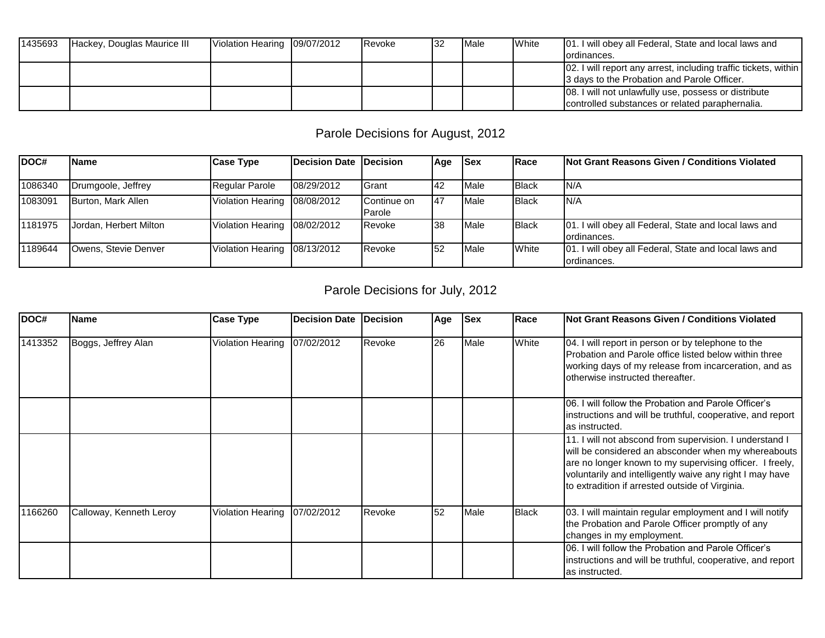| 1435693 | Hackey, Douglas Maurice III | Violation Hearing 09/07/2012 | Revoke | 32 | Male | <b>White</b> | 01. I will obey all Federal, State and local laws and            |
|---------|-----------------------------|------------------------------|--------|----|------|--------------|------------------------------------------------------------------|
|         |                             |                              |        |    |      |              | lordinances.                                                     |
|         |                             |                              |        |    |      |              | [02. I will report any arrest, including traffic tickets, within |
|         |                             |                              |        |    |      |              | 3 days to the Probation and Parole Officer.                      |
|         |                             |                              |        |    |      |              | 08. I will not unlawfully use, possess or distribute             |
|         |                             |                              |        |    |      |              | controlled substances or related paraphernalia.                  |

# Parole Decisions for August, 2012

| DOC#    | <b>IName</b>           | Case Type                    | Decision Date Decision |                       | Age       | <b>Sex</b>  | <b>IRace</b>   | <b>Not Grant Reasons Given / Conditions Violated</b>                  |
|---------|------------------------|------------------------------|------------------------|-----------------------|-----------|-------------|----------------|-----------------------------------------------------------------------|
|         |                        |                              |                        |                       |           |             |                |                                                                       |
| 1086340 | Drumgoole, Jeffrey     | Regular Parole               | 08/29/2012             | <b>I</b> Grant        | <b>42</b> | Male        | <b>I</b> Black | IN/A                                                                  |
| 1083091 | Burton, Mark Allen     | Violation Hearing 08/08/2012 |                        | Continue on<br>Parole | 47        | <b>Male</b> | <b>I</b> Black | IN/A                                                                  |
| 1181975 | Jordan, Herbert Milton | Violation Hearing 08/02/2012 |                        | <b>Revoke</b>         | 38        | Male        | <b>Black</b>   | 01. I will obey all Federal, State and local laws and<br>lordinances. |
| 1189644 | Owens, Stevie Denver   | Violation Hearing 08/13/2012 |                        | <b>I</b> Revoke       | 52        | <b>Male</b> | <b>White</b>   | 01. I will obey all Federal, State and local laws and<br>lordinances. |

| DOC#    | <b>Name</b>             | Case Type                    | <b>Decision Date</b> | <b>IDecision</b> | Age | <b>Sex</b> | <b>IRace</b> | INot Grant Reasons Given / Conditions Violated                                                                                                                                                                                                                                              |
|---------|-------------------------|------------------------------|----------------------|------------------|-----|------------|--------------|---------------------------------------------------------------------------------------------------------------------------------------------------------------------------------------------------------------------------------------------------------------------------------------------|
| 1413352 | Boggs, Jeffrey Alan     | Violation Hearing            | 07/02/2012           | Revoke           | 26  | Male       | White        | 04. I will report in person or by telephone to the<br>Probation and Parole office listed below within three<br>working days of my release from incarceration, and as<br>lotherwise instructed thereafter.                                                                                   |
|         |                         |                              |                      |                  |     |            |              | 106. I will follow the Probation and Parole Officer's<br>instructions and will be truthful, cooperative, and report<br>las instructed.                                                                                                                                                      |
|         |                         |                              |                      |                  |     |            |              | 11. I will not abscond from supervision. I understand I<br>will be considered an absconder when my whereabouts  <br>are no longer known to my supervising officer. I freely,<br>voluntarily and intelligently waive any right I may have<br>to extradition if arrested outside of Virginia. |
| 1166260 | Calloway, Kenneth Leroy | Violation Hearing 07/02/2012 |                      | Revoke           | 52  | Male       | <b>Black</b> | 03. I will maintain regular employment and I will notify<br>the Probation and Parole Officer promptly of any<br>changes in my employment.                                                                                                                                                   |
|         |                         |                              |                      |                  |     |            |              | 06. I will follow the Probation and Parole Officer's<br>instructions and will be truthful, cooperative, and report<br>las instructed.                                                                                                                                                       |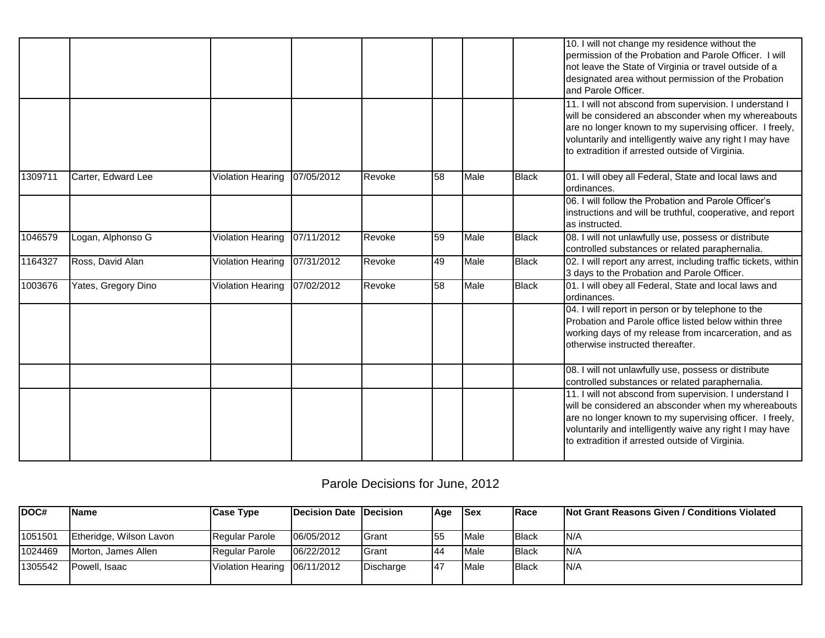|         |                     |                              |            |        |                 |      |              | 10. I will not change my residence without the<br>permission of the Probation and Parole Officer. I will<br>not leave the State of Virginia or travel outside of a<br>designated area without permission of the Probation<br>and Parole Officer.                                          |
|---------|---------------------|------------------------------|------------|--------|-----------------|------|--------------|-------------------------------------------------------------------------------------------------------------------------------------------------------------------------------------------------------------------------------------------------------------------------------------------|
|         |                     |                              |            |        |                 |      |              | 11. I will not abscond from supervision. I understand I<br>will be considered an absconder when my whereabouts<br>are no longer known to my supervising officer. I freely,<br>voluntarily and intelligently waive any right I may have<br>to extradition if arrested outside of Virginia. |
| 1309711 | Carter, Edward Lee  | <b>Violation Hearing</b>     | 07/05/2012 | Revoke | 58              | Male | Black        | 01. I will obey all Federal, State and local laws and<br>ordinances.                                                                                                                                                                                                                      |
|         |                     |                              |            |        |                 |      |              | 06. I will follow the Probation and Parole Officer's<br>instructions and will be truthful, cooperative, and report<br>las instructed.                                                                                                                                                     |
| 1046579 | Logan, Alphonso G   | Violation Hearing            | 07/11/2012 | Revoke | 59              | Male | Black        | 08. I will not unlawfully use, possess or distribute<br>controlled substances or related paraphernalia.                                                                                                                                                                                   |
| 1164327 | Ross, David Alan    | <b>Violation Hearing</b>     | 07/31/2012 | Revoke | 49              | Male | Black        | 02. I will report any arrest, including traffic tickets, within<br>3 days to the Probation and Parole Officer.                                                                                                                                                                            |
| 1003676 | Yates, Gregory Dino | Violation Hearing 07/02/2012 |            | Revoke | $\overline{58}$ | Male | <b>Black</b> | 01. I will obey all Federal, State and local laws and<br>lordinances.                                                                                                                                                                                                                     |
|         |                     |                              |            |        |                 |      |              | 04. I will report in person or by telephone to the<br>Probation and Parole office listed below within three<br>working days of my release from incarceration, and as<br>otherwise instructed thereafter.                                                                                  |
|         |                     |                              |            |        |                 |      |              | 08. I will not unlawfully use, possess or distribute<br>controlled substances or related paraphernalia.                                                                                                                                                                                   |
|         |                     |                              |            |        |                 |      |              | 11. I will not abscond from supervision. I understand I<br>will be considered an absconder when my whereabouts<br>are no longer known to my supervising officer. I freely,<br>voluntarily and intelligently waive any right I may have<br>to extradition if arrested outside of Virginia. |

| DOC#    | <b>IName</b>            | Case Type                    | Decision Date Decision |                | Aqe | <b>Sex</b>    | <b>IRace</b>   | Not Grant Reasons Given / Conditions Violated |
|---------|-------------------------|------------------------------|------------------------|----------------|-----|---------------|----------------|-----------------------------------------------|
| 1051501 | Etheridge, Wilson Lavon | <b>IReqular Parole</b>       | 06/05/2012             | <b>I</b> Grant | 155 | <b>Male</b>   | <b>I</b> Black | IN/A                                          |
| 1024469 | Morton, James Allen     | <b>I</b> Regular Parole      | 06/22/2012             | <b>I</b> Grant | 44  | <b>Male</b>   | <b>I</b> Black | IN/A                                          |
| 1305542 | <b>IPowell, Isaac</b>   | Violation Hearing 06/11/2012 |                        | Discharge      | 147 | <b>I</b> Male | <b>I</b> Black | IN/A                                          |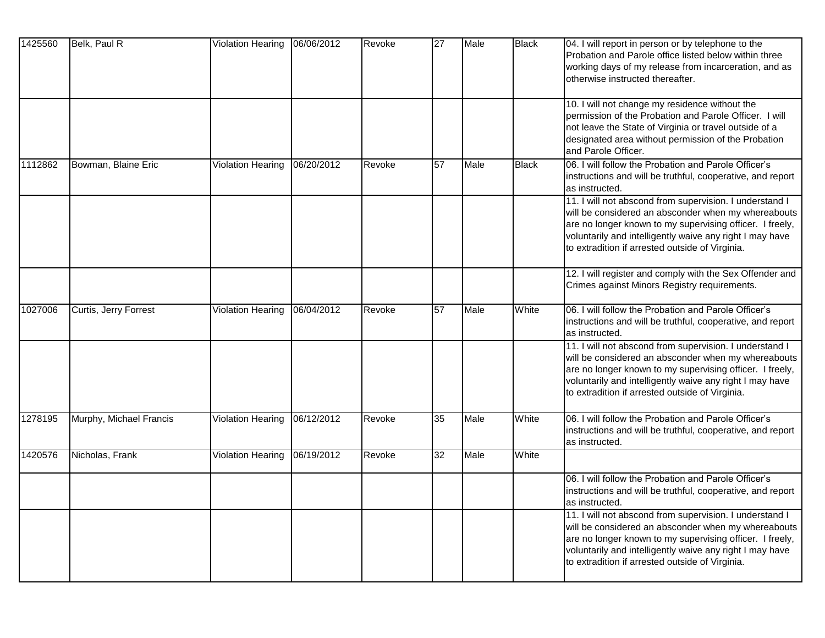| 1425560 | Belk, Paul R            | Violation Hearing 06/06/2012 |            | Revoke | $\overline{27}$ | Male | <b>Black</b> | 04. I will report in person or by telephone to the<br>Probation and Parole office listed below within three<br>working days of my release from incarceration, and as<br>otherwise instructed thereafter.                                                                                  |
|---------|-------------------------|------------------------------|------------|--------|-----------------|------|--------------|-------------------------------------------------------------------------------------------------------------------------------------------------------------------------------------------------------------------------------------------------------------------------------------------|
|         |                         |                              |            |        |                 |      |              | 10. I will not change my residence without the<br>permission of the Probation and Parole Officer. I will<br>not leave the State of Virginia or travel outside of a<br>designated area without permission of the Probation<br>and Parole Officer.                                          |
| 1112862 | Bowman, Blaine Eric     | <b>Violation Hearing</b>     | 06/20/2012 | Revoke | 57              | Male | <b>Black</b> | 06. I will follow the Probation and Parole Officer's<br>instructions and will be truthful, cooperative, and report<br>as instructed.                                                                                                                                                      |
|         |                         |                              |            |        |                 |      |              | 11. I will not abscond from supervision. I understand I<br>will be considered an absconder when my whereabouts<br>are no longer known to my supervising officer. I freely,<br>voluntarily and intelligently waive any right I may have<br>to extradition if arrested outside of Virginia. |
|         |                         |                              |            |        |                 |      |              | 12. I will register and comply with the Sex Offender and<br>Crimes against Minors Registry requirements.                                                                                                                                                                                  |
| 1027006 | Curtis, Jerry Forrest   | Violation Hearing            | 06/04/2012 | Revoke | 57              | Male | White        | 06. I will follow the Probation and Parole Officer's<br>instructions and will be truthful, cooperative, and report<br>as instructed.                                                                                                                                                      |
|         |                         |                              |            |        |                 |      |              | 11. I will not abscond from supervision. I understand I<br>will be considered an absconder when my whereabouts<br>are no longer known to my supervising officer. I freely,<br>voluntarily and intelligently waive any right I may have<br>to extradition if arrested outside of Virginia. |
| 1278195 | Murphy, Michael Francis | Violation Hearing            | 06/12/2012 | Revoke | 35              | Male | White        | 06. I will follow the Probation and Parole Officer's<br>instructions and will be truthful, cooperative, and report<br>as instructed.                                                                                                                                                      |
| 1420576 | Nicholas, Frank         | Violation Hearing            | 06/19/2012 | Revoke | 32              | Male | White        |                                                                                                                                                                                                                                                                                           |
|         |                         |                              |            |        |                 |      |              | 06. I will follow the Probation and Parole Officer's<br>instructions and will be truthful, cooperative, and report<br>as instructed.                                                                                                                                                      |
|         |                         |                              |            |        |                 |      |              | 11. I will not abscond from supervision. I understand I<br>will be considered an absconder when my whereabouts<br>are no longer known to my supervising officer. I freely,<br>voluntarily and intelligently waive any right I may have<br>to extradition if arrested outside of Virginia. |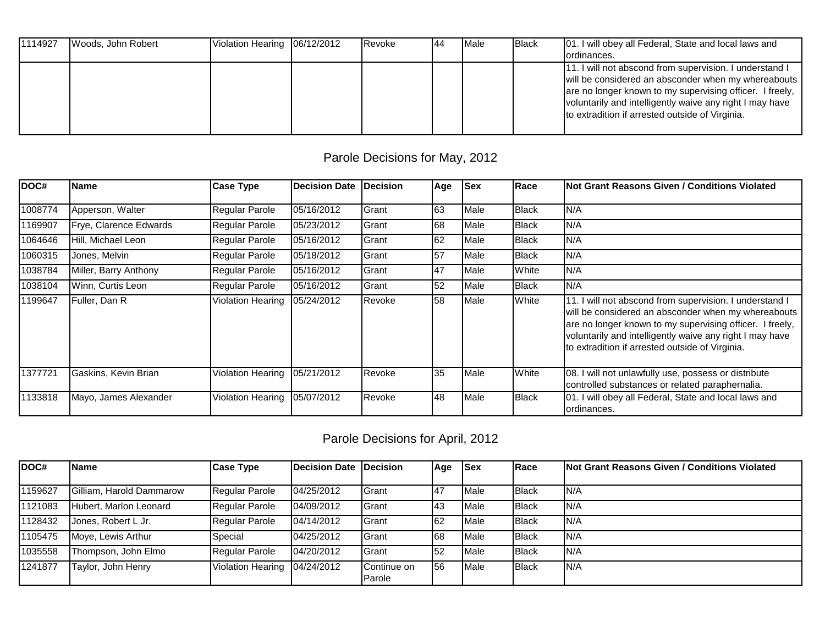| 1114927 | Woods, John Robert | Violation Hearing 06/12/2012 | <b>I</b> Revoke | 44 | <b>Male</b> | <b>Black</b> | [01. I will obey all Federal, State and local laws and<br>ordinances.                                                                                                                                                                                                                     |
|---------|--------------------|------------------------------|-----------------|----|-------------|--------------|-------------------------------------------------------------------------------------------------------------------------------------------------------------------------------------------------------------------------------------------------------------------------------------------|
|         |                    |                              |                 |    |             |              | 11. I will not abscond from supervision. I understand I<br>will be considered an absconder when my whereabouts<br>are no longer known to my supervising officer. I freely,<br>voluntarily and intelligently waive any right I may have<br>to extradition if arrested outside of Virginia. |

| DOC#    | <b>Name</b>            | <b>Case Type</b>              | <b>Decision Date</b> | <b>IDecision</b> | Age | <b>Sex</b> | Race         | <b>INot Grant Reasons Given / Conditions Violated</b>                                                                                                                                                                                                                                     |
|---------|------------------------|-------------------------------|----------------------|------------------|-----|------------|--------------|-------------------------------------------------------------------------------------------------------------------------------------------------------------------------------------------------------------------------------------------------------------------------------------------|
| 1008774 | Apperson, Walter       | Regular Parole                | 05/16/2012           | Grant            | 63  | Male       | Black        | IN/A                                                                                                                                                                                                                                                                                      |
| 1169907 | Frye, Clarence Edwards | Regular Parole                | 05/23/2012           | Grant            | 68  | Male       | Black        | N/A                                                                                                                                                                                                                                                                                       |
| 1064646 | Hill, Michael Leon     | Regular Parole                | 05/16/2012           | Grant            | 62  | Male       | <b>Black</b> | IN/A                                                                                                                                                                                                                                                                                      |
| 1060315 | Jones, Melvin          | Regular Parole                | 05/18/2012           | <b>I</b> Grant   | 57  | Male       | Black        | IN/A                                                                                                                                                                                                                                                                                      |
| 1038784 | Miller, Barry Anthony  | Regular Parole                | 05/16/2012           | Grant            | 47  | Male       | White        | N/A                                                                                                                                                                                                                                                                                       |
| 1038104 | Winn, Curtis Leon      | Regular Parole                | 05/16/2012           | Grant            | 52  | Male       | Black        | N/A                                                                                                                                                                                                                                                                                       |
| 1199647 | Fuller, Dan R          | Violation Hearing             | 05/24/2012           | Revoke           | 58  | Male       | White        | 11. I will not abscond from supervision. I understand I<br>will be considered an absconder when my whereabouts<br>are no longer known to my supervising officer. I freely,<br>voluntarily and intelligently waive any right I may have<br>to extradition if arrested outside of Virginia. |
| 1377721 | Gaskins, Kevin Brian   | Violation Hearing 05/21/2012  |                      | Revoke           | 35  | Male       | White        | 08. I will not unlawfully use, possess or distribute<br>controlled substances or related paraphernalia.                                                                                                                                                                                   |
| 1133818 | Mayo, James Alexander  | Violation Hearing 105/07/2012 |                      | Revoke           | 48  | Male       | Black        | [01. I will obey all Federal, State and local laws and<br>ordinances.                                                                                                                                                                                                                     |

# Parole Decisions for April, 2012

| DOC#    | <b>IName</b>             | <b>Case Type</b>             | Decision Date Decision |                       | Age        | <b>Sex</b> | <b>IRace</b> | <b>Not Grant Reasons Given / Conditions Violated</b> |
|---------|--------------------------|------------------------------|------------------------|-----------------------|------------|------------|--------------|------------------------------------------------------|
| 1159627 | Gilliam, Harold Dammarow | Regular Parole               | 04/25/2012             | <b>I</b> Grant        | 147        | Male       | <b>Black</b> | N/A                                                  |
| 1121083 | Hubert, Marlon Leonard   | Regular Parole               | 04/09/2012             | <b>I</b> Grant        | 143        | Male       | <b>Black</b> | IN/A                                                 |
| 1128432 | Jones, Robert L Jr.      | <b>Regular Parole</b>        | 04/14/2012             | <b>I</b> Grant        | 62         | Male       | <b>Black</b> | IN/A                                                 |
| 1105475 | Move, Lewis Arthur       | Special                      | 04/25/2012             | <b>I</b> Grant        | 68         | Male       | <b>Black</b> | N/A                                                  |
| 1035558 | Thompson, John Elmo      | <b>Regular Parole</b>        | 04/20/2012             | <b>I</b> Grant        | <b>152</b> | Male       | <b>Black</b> | IN/A                                                 |
| 1241877 | Taylor, John Henry       | Violation Hearing 04/24/2012 |                        | Continue on<br>Parole | 56         | Male       | <b>Black</b> | N/A                                                  |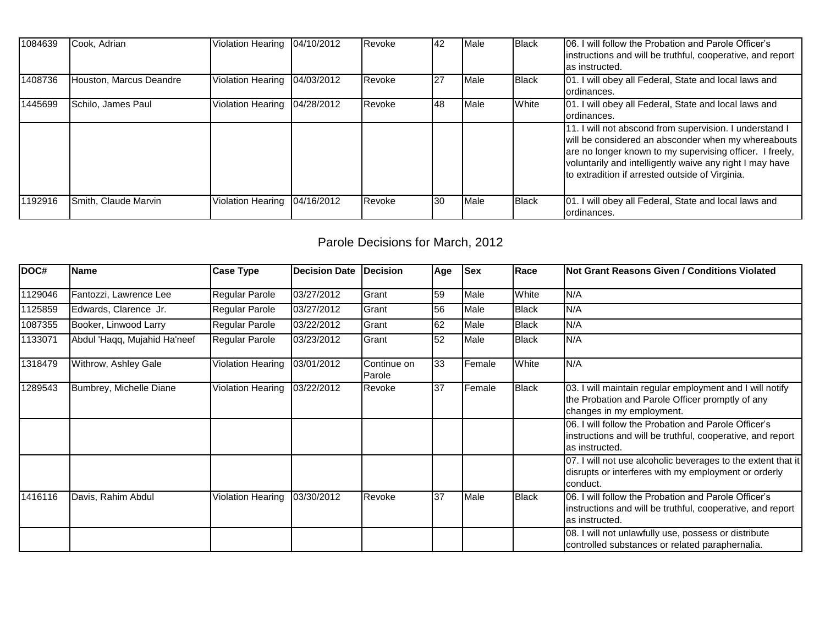| 1084639 | Cook. Adrian            | Violation Hearing 04/10/2012 | <b>Revoke</b>   | 42 | <b>Male</b> | <b>Black</b> | <b>106.</b> I will follow the Probation and Parole Officer's<br>instructions and will be truthful, cooperative, and report<br>las instructed.                                                                                                                                             |
|---------|-------------------------|------------------------------|-----------------|----|-------------|--------------|-------------------------------------------------------------------------------------------------------------------------------------------------------------------------------------------------------------------------------------------------------------------------------------------|
| 1408736 | Houston, Marcus Deandre | Violation Hearing 04/03/2012 | <b>I</b> Revoke | 27 | Male        | Black        | 01. I will obey all Federal, State and local laws and<br>lordinances.                                                                                                                                                                                                                     |
| 1445699 | Schilo, James Paul      | Violation Hearing 04/28/2012 | <b>I</b> Revoke | 48 | Male        | <b>White</b> | 01. I will obey all Federal, State and local laws and<br>lordinances.                                                                                                                                                                                                                     |
|         |                         |                              |                 |    |             |              | 11. I will not abscond from supervision. I understand I<br>will be considered an absconder when my whereabouts<br>are no longer known to my supervising officer. I freely,<br>voluntarily and intelligently waive any right I may have<br>to extradition if arrested outside of Virginia. |
| 1192916 | Smith, Claude Marvin    | Violation Hearing 04/16/2012 | <b>Revoke</b>   | 30 | <b>Male</b> | <b>Black</b> | 01. I will obey all Federal, State and local laws and<br>ordinances.                                                                                                                                                                                                                      |

| DOC#    | <b>I</b> Name                | <b>Case Type</b>      | <b>Decision Date</b> | <b>IDecision</b>      | Age | <b>Sex</b>  | <b>IRace</b> | <b>INot Grant Reasons Given / Conditions Violated</b>                                                                                     |
|---------|------------------------------|-----------------------|----------------------|-----------------------|-----|-------------|--------------|-------------------------------------------------------------------------------------------------------------------------------------------|
| 1129046 | Fantozzi, Lawrence Lee       | Regular Parole        | 03/27/2012           | Grant                 | 59  | Male        | <b>White</b> | N/A                                                                                                                                       |
| 1125859 | Edwards, Clarence Jr.        | <b>Regular Parole</b> | 03/27/2012           | Grant                 | 56  | Male        | Black        | N/A                                                                                                                                       |
| 1087355 | Booker, Linwood Larry        | Regular Parole        | 03/22/2012           | Grant                 | 62  | Male        | Black        | N/A                                                                                                                                       |
| 1133071 | Abdul 'Haqq, Mujahid Ha'neef | Regular Parole        | 03/23/2012           | Grant                 | 52  | Male        | Black        | N/A                                                                                                                                       |
| 1318479 | Withrow, Ashley Gale         | Violation Hearing     | 03/01/2012           | Continue on<br>Parole | 33  | Female      | White        | N/A                                                                                                                                       |
| 1289543 | Bumbrey, Michelle Diane      | Violation Hearing     | 03/22/2012           | Revoke                | 37  | Female      | Black        | 03. I will maintain regular employment and I will notify<br>the Probation and Parole Officer promptly of any<br>changes in my employment. |
|         |                              |                       |                      |                       |     |             |              | 06. I will follow the Probation and Parole Officer's<br>instructions and will be truthful, cooperative, and report<br>as instructed.      |
|         |                              |                       |                      |                       |     |             |              | 07. I will not use alcoholic beverages to the extent that it<br>disrupts or interferes with my employment or orderly<br>Iconduct.         |
| 1416116 | Davis, Rahim Abdul           | Violation Hearing     | 03/30/2012           | Revoke                | 37  | <b>Male</b> | <b>Black</b> | 06. I will follow the Probation and Parole Officer's<br>instructions and will be truthful, cooperative, and report<br>as instructed.      |
|         |                              |                       |                      |                       |     |             |              | 08. I will not unlawfully use, possess or distribute<br>controlled substances or related paraphernalia.                                   |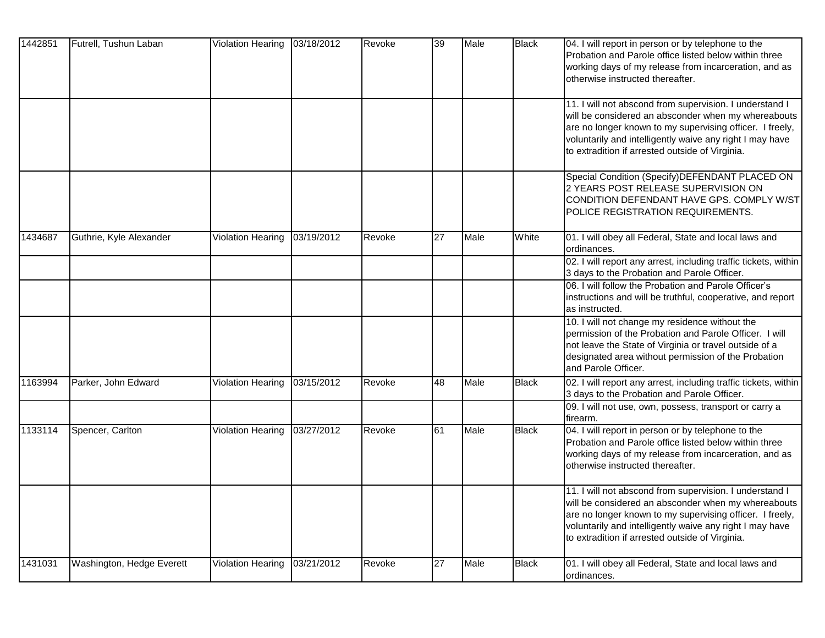| 1442851 | Futrell, Tushun Laban     | Violation Hearing 03/18/2012 |            | Revoke | 39              | Male | Black        | 04. I will report in person or by telephone to the<br>Probation and Parole office listed below within three<br>working days of my release from incarceration, and as<br>otherwise instructed thereafter.                                                                                  |
|---------|---------------------------|------------------------------|------------|--------|-----------------|------|--------------|-------------------------------------------------------------------------------------------------------------------------------------------------------------------------------------------------------------------------------------------------------------------------------------------|
|         |                           |                              |            |        |                 |      |              | 11. I will not abscond from supervision. I understand I<br>will be considered an absconder when my whereabouts<br>are no longer known to my supervising officer. I freely,<br>voluntarily and intelligently waive any right I may have<br>to extradition if arrested outside of Virginia. |
|         |                           |                              |            |        |                 |      |              | Special Condition (Specify) DEFENDANT PLACED ON<br>2 YEARS POST RELEASE SUPERVISION ON<br>CONDITION DEFENDANT HAVE GPS. COMPLY W/ST<br>POLICE REGISTRATION REQUIREMENTS.                                                                                                                  |
| 1434687 | Guthrie, Kyle Alexander   | Violation Hearing            | 03/19/2012 | Revoke | 27              | Male | White        | 01. I will obey all Federal, State and local laws and<br>ordinances.                                                                                                                                                                                                                      |
|         |                           |                              |            |        |                 |      |              | 02. I will report any arrest, including traffic tickets, within<br>3 days to the Probation and Parole Officer.                                                                                                                                                                            |
|         |                           |                              |            |        |                 |      |              | 06. I will follow the Probation and Parole Officer's<br>instructions and will be truthful, cooperative, and report<br>as instructed.                                                                                                                                                      |
|         |                           |                              |            |        |                 |      |              | 10. I will not change my residence without the<br>permission of the Probation and Parole Officer. I will<br>not leave the State of Virginia or travel outside of a<br>designated area without permission of the Probation<br>and Parole Officer.                                          |
| 1163994 | Parker, John Edward       | Violation Hearing            | 03/15/2012 | Revoke | 48              | Male | <b>Black</b> | 02. I will report any arrest, including traffic tickets, within<br>3 days to the Probation and Parole Officer.                                                                                                                                                                            |
|         |                           |                              |            |        |                 |      |              | 09. I will not use, own, possess, transport or carry a<br>firearm.                                                                                                                                                                                                                        |
| 1133114 | Spencer, Carlton          | Violation Hearing            | 03/27/2012 | Revoke | 61              | Male | <b>Black</b> | 04. I will report in person or by telephone to the<br>Probation and Parole office listed below within three<br>working days of my release from incarceration, and as<br>otherwise instructed thereafter.                                                                                  |
|         |                           |                              |            |        |                 |      |              | 11. I will not abscond from supervision. I understand I<br>will be considered an absconder when my whereabouts<br>are no longer known to my supervising officer. I freely,<br>voluntarily and intelligently waive any right I may have<br>to extradition if arrested outside of Virginia. |
| 1431031 | Washington, Hedge Everett | <b>Violation Hearing</b>     | 03/21/2012 | Revoke | $\overline{27}$ | Male | <b>Black</b> | 01. I will obey all Federal, State and local laws and<br>ordinances.                                                                                                                                                                                                                      |